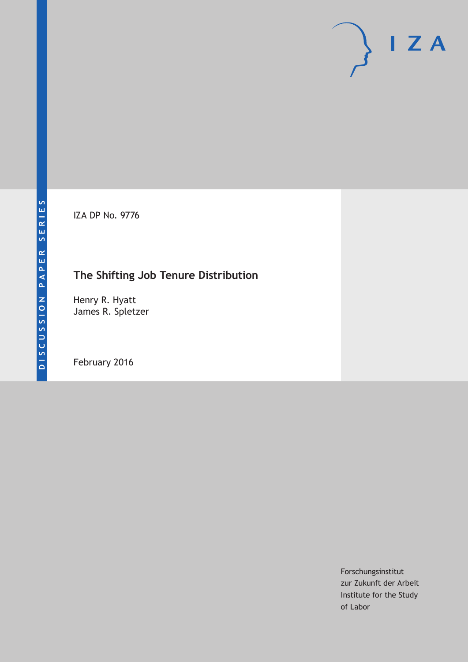IZA DP No. 9776

# **The Shifting Job Tenure Distribution**

Henry R. Hyatt James R. Spletzer

February 2016

Forschungsinstitut zur Zukunft der Arbeit Institute for the Study of Labor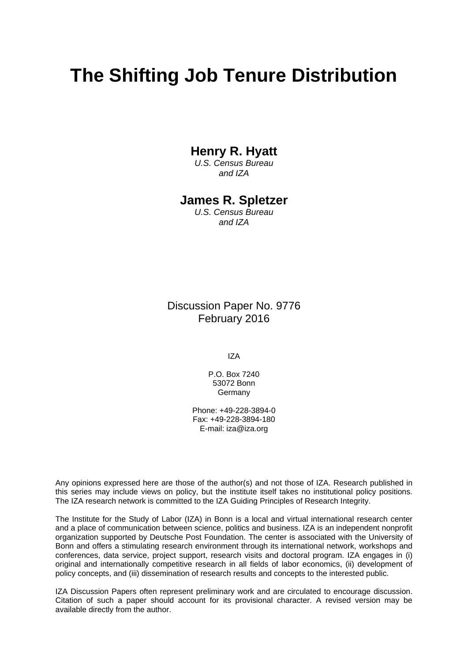# **The Shifting Job Tenure Distribution**

### **Henry R. Hyatt**

*U.S. Census Bureau and IZA* 

### **James R. Spletzer**

*U.S. Census Bureau and IZA* 

Discussion Paper No. 9776 February 2016

IZA

P.O. Box 7240 53072 Bonn Germany

Phone: +49-228-3894-0 Fax: +49-228-3894-180 E-mail: iza@iza.org

Any opinions expressed here are those of the author(s) and not those of IZA. Research published in this series may include views on policy, but the institute itself takes no institutional policy positions. The IZA research network is committed to the IZA Guiding Principles of Research Integrity.

The Institute for the Study of Labor (IZA) in Bonn is a local and virtual international research center and a place of communication between science, politics and business. IZA is an independent nonprofit organization supported by Deutsche Post Foundation. The center is associated with the University of Bonn and offers a stimulating research environment through its international network, workshops and conferences, data service, project support, research visits and doctoral program. IZA engages in (i) original and internationally competitive research in all fields of labor economics, (ii) development of policy concepts, and (iii) dissemination of research results and concepts to the interested public.

IZA Discussion Papers often represent preliminary work and are circulated to encourage discussion. Citation of such a paper should account for its provisional character. A revised version may be available directly from the author.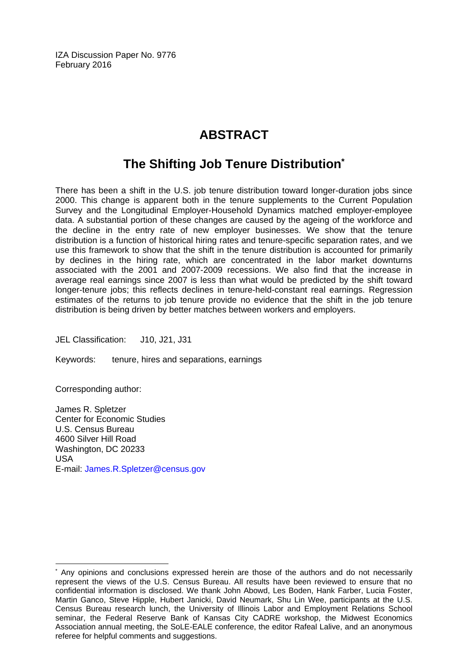IZA Discussion Paper No. 9776 February 2016

# **ABSTRACT**

## **The Shifting Job Tenure Distribution\***

There has been a shift in the U.S. job tenure distribution toward longer-duration jobs since 2000. This change is apparent both in the tenure supplements to the Current Population Survey and the Longitudinal Employer-Household Dynamics matched employer-employee data. A substantial portion of these changes are caused by the ageing of the workforce and the decline in the entry rate of new employer businesses. We show that the tenure distribution is a function of historical hiring rates and tenure-specific separation rates, and we use this framework to show that the shift in the tenure distribution is accounted for primarily by declines in the hiring rate, which are concentrated in the labor market downturns associated with the 2001 and 2007-2009 recessions. We also find that the increase in average real earnings since 2007 is less than what would be predicted by the shift toward longer-tenure jobs; this reflects declines in tenure-held-constant real earnings. Regression estimates of the returns to job tenure provide no evidence that the shift in the job tenure distribution is being driven by better matches between workers and employers.

JEL Classification: J10, J21, J31

Keywords: tenure, hires and separations, earnings

Corresponding author:

 $\overline{a}$ 

James R. Spletzer Center for Economic Studies U.S. Census Bureau 4600 Silver Hill Road Washington, DC 20233 USA E-mail: James.R.Spletzer@census.gov

<sup>\*</sup> Any opinions and conclusions expressed herein are those of the authors and do not necessarily represent the views of the U.S. Census Bureau. All results have been reviewed to ensure that no confidential information is disclosed. We thank John Abowd, Les Boden, Hank Farber, Lucia Foster, Martin Ganco, Steve Hipple, Hubert Janicki, David Neumark, Shu Lin Wee, participants at the U.S. Census Bureau research lunch, the University of Illinois Labor and Employment Relations School seminar, the Federal Reserve Bank of Kansas City CADRE workshop, the Midwest Economics Association annual meeting, the SoLE-EALE conference, the editor Rafeal Lalive, and an anonymous referee for helpful comments and suggestions.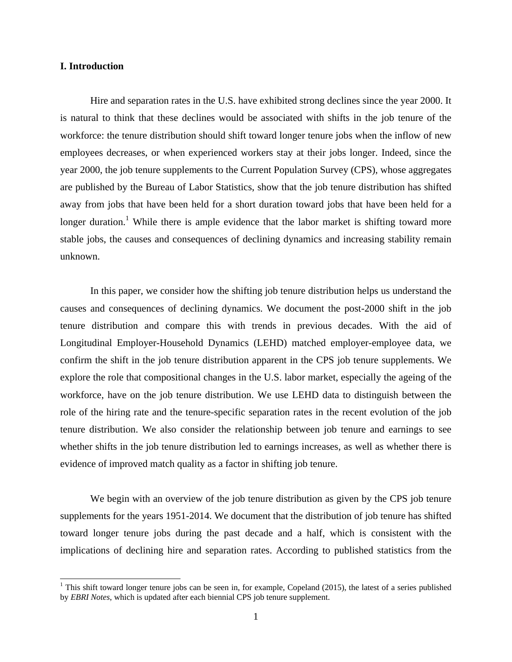#### **I. Introduction**

 $\overline{a}$ 

 Hire and separation rates in the U.S. have exhibited strong declines since the year 2000. It is natural to think that these declines would be associated with shifts in the job tenure of the workforce: the tenure distribution should shift toward longer tenure jobs when the inflow of new employees decreases, or when experienced workers stay at their jobs longer. Indeed, since the year 2000, the job tenure supplements to the Current Population Survey (CPS), whose aggregates are published by the Bureau of Labor Statistics, show that the job tenure distribution has shifted away from jobs that have been held for a short duration toward jobs that have been held for a longer duration.<sup>1</sup> While there is ample evidence that the labor market is shifting toward more stable jobs, the causes and consequences of declining dynamics and increasing stability remain unknown.

 In this paper, we consider how the shifting job tenure distribution helps us understand the causes and consequences of declining dynamics. We document the post-2000 shift in the job tenure distribution and compare this with trends in previous decades. With the aid of Longitudinal Employer-Household Dynamics (LEHD) matched employer-employee data, we confirm the shift in the job tenure distribution apparent in the CPS job tenure supplements. We explore the role that compositional changes in the U.S. labor market, especially the ageing of the workforce, have on the job tenure distribution. We use LEHD data to distinguish between the role of the hiring rate and the tenure-specific separation rates in the recent evolution of the job tenure distribution. We also consider the relationship between job tenure and earnings to see whether shifts in the job tenure distribution led to earnings increases, as well as whether there is evidence of improved match quality as a factor in shifting job tenure.

We begin with an overview of the job tenure distribution as given by the CPS job tenure supplements for the years 1951-2014. We document that the distribution of job tenure has shifted toward longer tenure jobs during the past decade and a half, which is consistent with the implications of declining hire and separation rates. According to published statistics from the

<sup>&</sup>lt;sup>1</sup> This shift toward longer tenure jobs can be seen in, for example, Copeland (2015), the latest of a series published by *EBRI Notes*, which is updated after each biennial CPS job tenure supplement.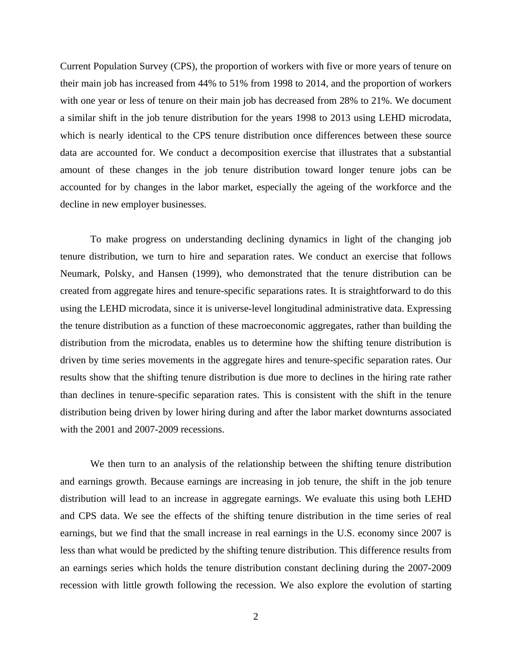Current Population Survey (CPS), the proportion of workers with five or more years of tenure on their main job has increased from 44% to 51% from 1998 to 2014, and the proportion of workers with one year or less of tenure on their main job has decreased from 28% to 21%. We document a similar shift in the job tenure distribution for the years 1998 to 2013 using LEHD microdata, which is nearly identical to the CPS tenure distribution once differences between these source data are accounted for. We conduct a decomposition exercise that illustrates that a substantial amount of these changes in the job tenure distribution toward longer tenure jobs can be accounted for by changes in the labor market, especially the ageing of the workforce and the decline in new employer businesses.

 To make progress on understanding declining dynamics in light of the changing job tenure distribution, we turn to hire and separation rates. We conduct an exercise that follows Neumark, Polsky, and Hansen (1999), who demonstrated that the tenure distribution can be created from aggregate hires and tenure-specific separations rates. It is straightforward to do this using the LEHD microdata, since it is universe-level longitudinal administrative data. Expressing the tenure distribution as a function of these macroeconomic aggregates, rather than building the distribution from the microdata, enables us to determine how the shifting tenure distribution is driven by time series movements in the aggregate hires and tenure-specific separation rates. Our results show that the shifting tenure distribution is due more to declines in the hiring rate rather than declines in tenure-specific separation rates. This is consistent with the shift in the tenure distribution being driven by lower hiring during and after the labor market downturns associated with the 2001 and 2007-2009 recessions.

 We then turn to an analysis of the relationship between the shifting tenure distribution and earnings growth. Because earnings are increasing in job tenure, the shift in the job tenure distribution will lead to an increase in aggregate earnings. We evaluate this using both LEHD and CPS data. We see the effects of the shifting tenure distribution in the time series of real earnings, but we find that the small increase in real earnings in the U.S. economy since 2007 is less than what would be predicted by the shifting tenure distribution. This difference results from an earnings series which holds the tenure distribution constant declining during the 2007-2009 recession with little growth following the recession. We also explore the evolution of starting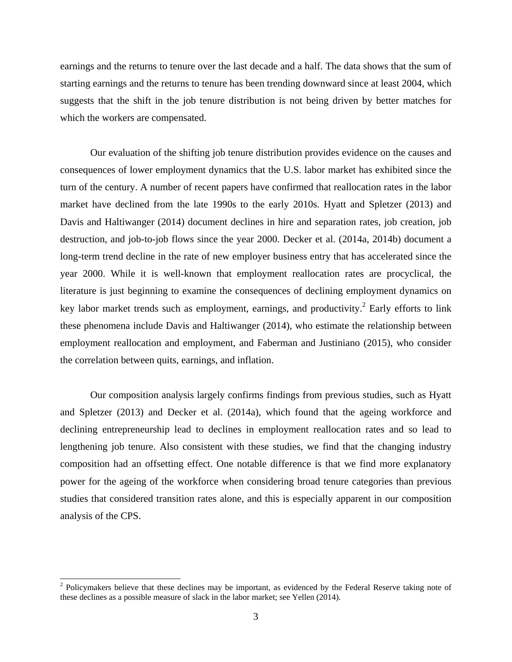earnings and the returns to tenure over the last decade and a half. The data shows that the sum of starting earnings and the returns to tenure has been trending downward since at least 2004, which suggests that the shift in the job tenure distribution is not being driven by better matches for which the workers are compensated.

 Our evaluation of the shifting job tenure distribution provides evidence on the causes and consequences of lower employment dynamics that the U.S. labor market has exhibited since the turn of the century. A number of recent papers have confirmed that reallocation rates in the labor market have declined from the late 1990s to the early 2010s. Hyatt and Spletzer (2013) and Davis and Haltiwanger (2014) document declines in hire and separation rates, job creation, job destruction, and job-to-job flows since the year 2000. Decker et al. (2014a, 2014b) document a long-term trend decline in the rate of new employer business entry that has accelerated since the year 2000. While it is well-known that employment reallocation rates are procyclical, the literature is just beginning to examine the consequences of declining employment dynamics on key labor market trends such as employment, earnings, and productivity.<sup>2</sup> Early efforts to link these phenomena include Davis and Haltiwanger (2014), who estimate the relationship between employment reallocation and employment, and Faberman and Justiniano (2015), who consider the correlation between quits, earnings, and inflation.

Our composition analysis largely confirms findings from previous studies, such as Hyatt and Spletzer (2013) and Decker et al. (2014a), which found that the ageing workforce and declining entrepreneurship lead to declines in employment reallocation rates and so lead to lengthening job tenure. Also consistent with these studies, we find that the changing industry composition had an offsetting effect. One notable difference is that we find more explanatory power for the ageing of the workforce when considering broad tenure categories than previous studies that considered transition rates alone, and this is especially apparent in our composition analysis of the CPS.

 $\overline{a}$ 

 $2$  Policymakers believe that these declines may be important, as evidenced by the Federal Reserve taking note of these declines as a possible measure of slack in the labor market; see Yellen (2014).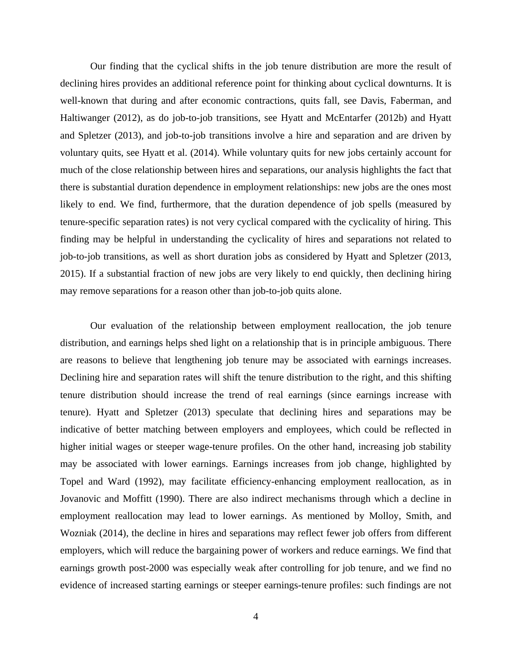Our finding that the cyclical shifts in the job tenure distribution are more the result of declining hires provides an additional reference point for thinking about cyclical downturns. It is well-known that during and after economic contractions, quits fall, see Davis, Faberman, and Haltiwanger (2012), as do job-to-job transitions, see Hyatt and McEntarfer (2012b) and Hyatt and Spletzer (2013), and job-to-job transitions involve a hire and separation and are driven by voluntary quits, see Hyatt et al. (2014). While voluntary quits for new jobs certainly account for much of the close relationship between hires and separations, our analysis highlights the fact that there is substantial duration dependence in employment relationships: new jobs are the ones most likely to end. We find, furthermore, that the duration dependence of job spells (measured by tenure-specific separation rates) is not very cyclical compared with the cyclicality of hiring. This finding may be helpful in understanding the cyclicality of hires and separations not related to job-to-job transitions, as well as short duration jobs as considered by Hyatt and Spletzer (2013, 2015). If a substantial fraction of new jobs are very likely to end quickly, then declining hiring may remove separations for a reason other than job-to-job quits alone.

 Our evaluation of the relationship between employment reallocation, the job tenure distribution, and earnings helps shed light on a relationship that is in principle ambiguous. There are reasons to believe that lengthening job tenure may be associated with earnings increases. Declining hire and separation rates will shift the tenure distribution to the right, and this shifting tenure distribution should increase the trend of real earnings (since earnings increase with tenure). Hyatt and Spletzer (2013) speculate that declining hires and separations may be indicative of better matching between employers and employees, which could be reflected in higher initial wages or steeper wage-tenure profiles. On the other hand, increasing job stability may be associated with lower earnings. Earnings increases from job change, highlighted by Topel and Ward (1992), may facilitate efficiency-enhancing employment reallocation, as in Jovanovic and Moffitt (1990). There are also indirect mechanisms through which a decline in employment reallocation may lead to lower earnings. As mentioned by Molloy, Smith, and Wozniak (2014), the decline in hires and separations may reflect fewer job offers from different employers, which will reduce the bargaining power of workers and reduce earnings. We find that earnings growth post-2000 was especially weak after controlling for job tenure, and we find no evidence of increased starting earnings or steeper earnings-tenure profiles: such findings are not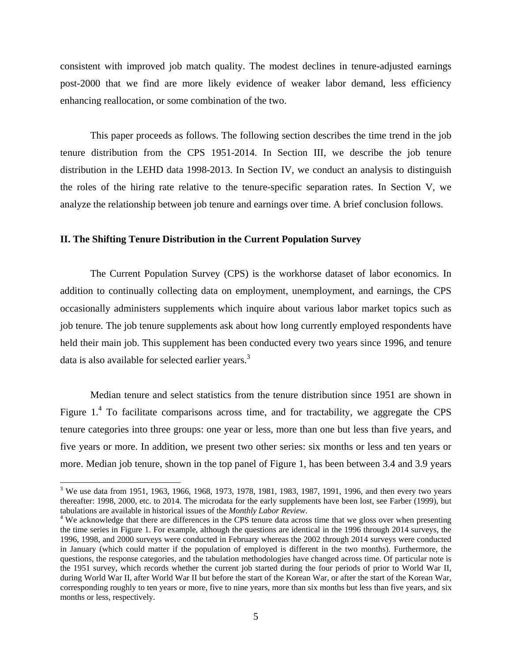consistent with improved job match quality. The modest declines in tenure-adjusted earnings post-2000 that we find are more likely evidence of weaker labor demand, less efficiency enhancing reallocation, or some combination of the two.

This paper proceeds as follows. The following section describes the time trend in the job tenure distribution from the CPS 1951-2014. In Section III, we describe the job tenure distribution in the LEHD data 1998-2013. In Section IV, we conduct an analysis to distinguish the roles of the hiring rate relative to the tenure-specific separation rates. In Section V, we analyze the relationship between job tenure and earnings over time. A brief conclusion follows.

#### **II. The Shifting Tenure Distribution in the Current Population Survey**

 $\overline{a}$ 

 The Current Population Survey (CPS) is the workhorse dataset of labor economics. In addition to continually collecting data on employment, unemployment, and earnings, the CPS occasionally administers supplements which inquire about various labor market topics such as job tenure. The job tenure supplements ask about how long currently employed respondents have held their main job. This supplement has been conducted every two years since 1996, and tenure data is also available for selected earlier years.<sup>3</sup>

 Median tenure and select statistics from the tenure distribution since 1951 are shown in Figure  $1<sup>4</sup>$  To facilitate comparisons across time, and for tractability, we aggregate the CPS tenure categories into three groups: one year or less, more than one but less than five years, and five years or more. In addition, we present two other series: six months or less and ten years or more. Median job tenure, shown in the top panel of Figure 1, has been between 3.4 and 3.9 years

<sup>&</sup>lt;sup>3</sup> We use data from 1951, 1963, 1966, 1968, 1973, 1978, 1981, 1983, 1987, 1991, 1996, and then every two years thereafter: 1998, 2000, etc. to 2014. The microdata for the early supplements have been lost, see Farber (1999), but tabulations are available in historical issues of the *Monthly Labor Review*. 4

 $4$  We acknowledge that there are differences in the CPS tenure data across time that we gloss over when presenting the time series in Figure 1. For example, although the questions are identical in the 1996 through 2014 surveys, the 1996, 1998, and 2000 surveys were conducted in February whereas the 2002 through 2014 surveys were conducted in January (which could matter if the population of employed is different in the two months). Furthermore, the questions, the response categories, and the tabulation methodologies have changed across time. Of particular note is the 1951 survey, which records whether the current job started during the four periods of prior to World War II, during World War II, after World War II but before the start of the Korean War, or after the start of the Korean War, corresponding roughly to ten years or more, five to nine years, more than six months but less than five years, and six months or less, respectively.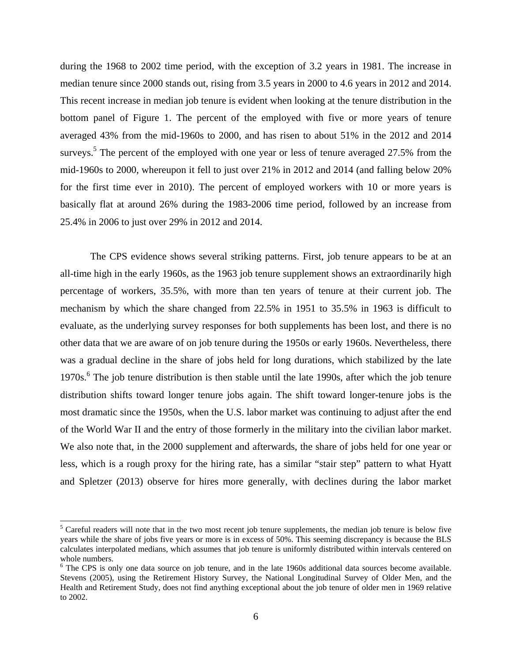during the 1968 to 2002 time period, with the exception of 3.2 years in 1981. The increase in median tenure since 2000 stands out, rising from 3.5 years in 2000 to 4.6 years in 2012 and 2014. This recent increase in median job tenure is evident when looking at the tenure distribution in the bottom panel of Figure 1. The percent of the employed with five or more years of tenure averaged 43% from the mid-1960s to 2000, and has risen to about 51% in the 2012 and 2014 surveys.<sup>5</sup> The percent of the employed with one year or less of tenure averaged 27.5% from the mid-1960s to 2000, whereupon it fell to just over 21% in 2012 and 2014 (and falling below 20% for the first time ever in 2010). The percent of employed workers with 10 or more years is basically flat at around 26% during the 1983-2006 time period, followed by an increase from 25.4% in 2006 to just over 29% in 2012 and 2014.

 The CPS evidence shows several striking patterns. First, job tenure appears to be at an all-time high in the early 1960s, as the 1963 job tenure supplement shows an extraordinarily high percentage of workers, 35.5%, with more than ten years of tenure at their current job. The mechanism by which the share changed from 22.5% in 1951 to 35.5% in 1963 is difficult to evaluate, as the underlying survey responses for both supplements has been lost, and there is no other data that we are aware of on job tenure during the 1950s or early 1960s. Nevertheless, there was a gradual decline in the share of jobs held for long durations, which stabilized by the late 1970s.<sup>6</sup> The job tenure distribution is then stable until the late 1990s, after which the job tenure distribution shifts toward longer tenure jobs again. The shift toward longer-tenure jobs is the most dramatic since the 1950s, when the U.S. labor market was continuing to adjust after the end of the World War II and the entry of those formerly in the military into the civilian labor market. We also note that, in the 2000 supplement and afterwards, the share of jobs held for one year or less, which is a rough proxy for the hiring rate, has a similar "stair step" pattern to what Hyatt and Spletzer (2013) observe for hires more generally, with declines during the labor market

 $\overline{a}$ 

 $<sup>5</sup>$  Careful readers will note that in the two most recent job tenure supplements, the median job tenure is below five</sup> years while the share of jobs five years or more is in excess of 50%. This seeming discrepancy is because the BLS calculates interpolated medians, which assumes that job tenure is uniformly distributed within intervals centered on whole numbers.

<sup>&</sup>lt;sup>6</sup> The CPS is only one data source on job tenure, and in the late 1960s additional data sources become available. Stevens (2005), using the Retirement History Survey, the National Longitudinal Survey of Older Men, and the Health and Retirement Study, does not find anything exceptional about the job tenure of older men in 1969 relative to 2002.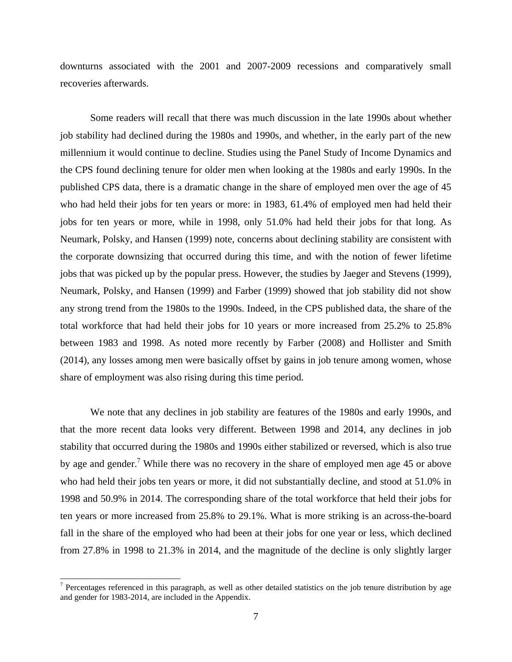downturns associated with the 2001 and 2007-2009 recessions and comparatively small recoveries afterwards.

 Some readers will recall that there was much discussion in the late 1990s about whether job stability had declined during the 1980s and 1990s, and whether, in the early part of the new millennium it would continue to decline. Studies using the Panel Study of Income Dynamics and the CPS found declining tenure for older men when looking at the 1980s and early 1990s. In the published CPS data, there is a dramatic change in the share of employed men over the age of 45 who had held their jobs for ten years or more: in 1983, 61.4% of employed men had held their jobs for ten years or more, while in 1998, only 51.0% had held their jobs for that long. As Neumark, Polsky, and Hansen (1999) note, concerns about declining stability are consistent with the corporate downsizing that occurred during this time, and with the notion of fewer lifetime jobs that was picked up by the popular press. However, the studies by Jaeger and Stevens (1999), Neumark, Polsky, and Hansen (1999) and Farber (1999) showed that job stability did not show any strong trend from the 1980s to the 1990s. Indeed, in the CPS published data, the share of the total workforce that had held their jobs for 10 years or more increased from 25.2% to 25.8% between 1983 and 1998. As noted more recently by Farber (2008) and Hollister and Smith (2014), any losses among men were basically offset by gains in job tenure among women, whose share of employment was also rising during this time period.

We note that any declines in job stability are features of the 1980s and early 1990s, and that the more recent data looks very different. Between 1998 and 2014, any declines in job stability that occurred during the 1980s and 1990s either stabilized or reversed, which is also true by age and gender.<sup>7</sup> While there was no recovery in the share of employed men age 45 or above who had held their jobs ten years or more, it did not substantially decline, and stood at 51.0% in 1998 and 50.9% in 2014. The corresponding share of the total workforce that held their jobs for ten years or more increased from 25.8% to 29.1%. What is more striking is an across-the-board fall in the share of the employed who had been at their jobs for one year or less, which declined from 27.8% in 1998 to 21.3% in 2014, and the magnitude of the decline is only slightly larger

 $\overline{a}$ 

<sup>&</sup>lt;sup>7</sup> Percentages referenced in this paragraph, as well as other detailed statistics on the job tenure distribution by age and gender for 1983-2014, are included in the Appendix.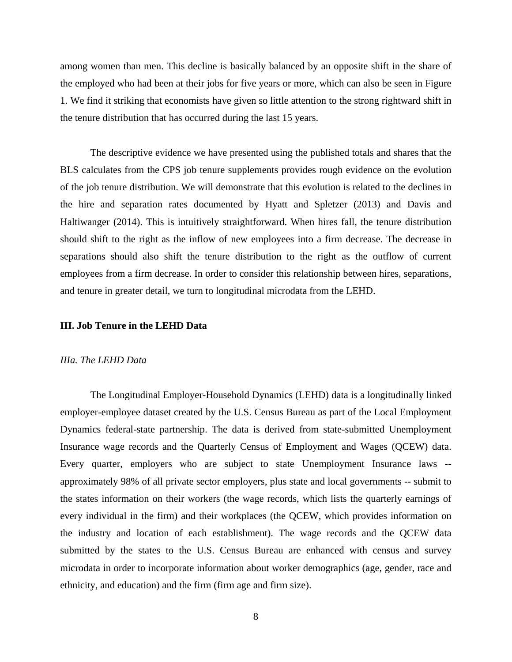among women than men. This decline is basically balanced by an opposite shift in the share of the employed who had been at their jobs for five years or more, which can also be seen in Figure 1. We find it striking that economists have given so little attention to the strong rightward shift in the tenure distribution that has occurred during the last 15 years.

The descriptive evidence we have presented using the published totals and shares that the BLS calculates from the CPS job tenure supplements provides rough evidence on the evolution of the job tenure distribution. We will demonstrate that this evolution is related to the declines in the hire and separation rates documented by Hyatt and Spletzer (2013) and Davis and Haltiwanger (2014). This is intuitively straightforward. When hires fall, the tenure distribution should shift to the right as the inflow of new employees into a firm decrease. The decrease in separations should also shift the tenure distribution to the right as the outflow of current employees from a firm decrease. In order to consider this relationship between hires, separations, and tenure in greater detail, we turn to longitudinal microdata from the LEHD.

#### **III. Job Tenure in the LEHD Data**

#### *IIIa. The LEHD Data*

 The Longitudinal Employer-Household Dynamics (LEHD) data is a longitudinally linked employer-employee dataset created by the U.S. Census Bureau as part of the Local Employment Dynamics federal-state partnership. The data is derived from state-submitted Unemployment Insurance wage records and the Quarterly Census of Employment and Wages (QCEW) data. Every quarter, employers who are subject to state Unemployment Insurance laws - approximately 98% of all private sector employers, plus state and local governments -- submit to the states information on their workers (the wage records, which lists the quarterly earnings of every individual in the firm) and their workplaces (the QCEW, which provides information on the industry and location of each establishment). The wage records and the QCEW data submitted by the states to the U.S. Census Bureau are enhanced with census and survey microdata in order to incorporate information about worker demographics (age, gender, race and ethnicity, and education) and the firm (firm age and firm size).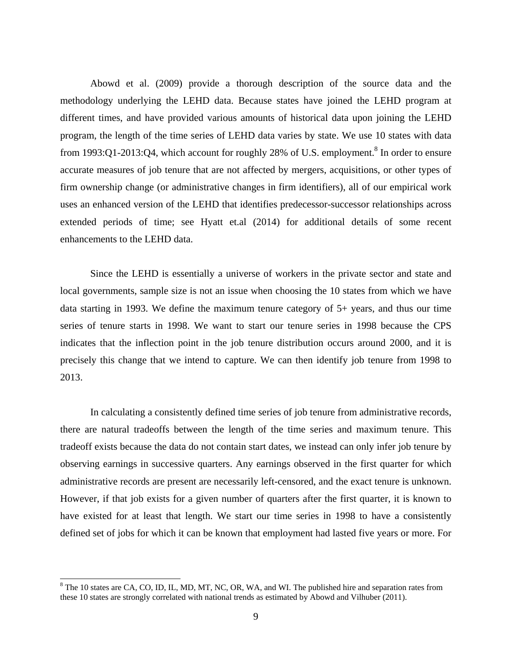Abowd et al. (2009) provide a thorough description of the source data and the methodology underlying the LEHD data. Because states have joined the LEHD program at different times, and have provided various amounts of historical data upon joining the LEHD program, the length of the time series of LEHD data varies by state. We use 10 states with data from 1993:Q1-2013:Q4, which account for roughly 28% of U.S. employment.<sup>8</sup> In order to ensure accurate measures of job tenure that are not affected by mergers, acquisitions, or other types of firm ownership change (or administrative changes in firm identifiers), all of our empirical work uses an enhanced version of the LEHD that identifies predecessor-successor relationships across extended periods of time; see Hyatt et.al (2014) for additional details of some recent enhancements to the LEHD data.

Since the LEHD is essentially a universe of workers in the private sector and state and local governments, sample size is not an issue when choosing the 10 states from which we have data starting in 1993. We define the maximum tenure category of 5+ years, and thus our time series of tenure starts in 1998. We want to start our tenure series in 1998 because the CPS indicates that the inflection point in the job tenure distribution occurs around 2000, and it is precisely this change that we intend to capture. We can then identify job tenure from 1998 to 2013.

 In calculating a consistently defined time series of job tenure from administrative records, there are natural tradeoffs between the length of the time series and maximum tenure. This tradeoff exists because the data do not contain start dates, we instead can only infer job tenure by observing earnings in successive quarters. Any earnings observed in the first quarter for which administrative records are present are necessarily left-censored, and the exact tenure is unknown. However, if that job exists for a given number of quarters after the first quarter, it is known to have existed for at least that length. We start our time series in 1998 to have a consistently defined set of jobs for which it can be known that employment had lasted five years or more. For

 $\overline{a}$ 

<sup>&</sup>lt;sup>8</sup> The 10 states are CA, CO, ID, IL, MD, MT, NC, OR, WA, and WI. The published hire and separation rates from these 10 states are strongly correlated with national trends as estimated by Abowd and Vilhuber (2011).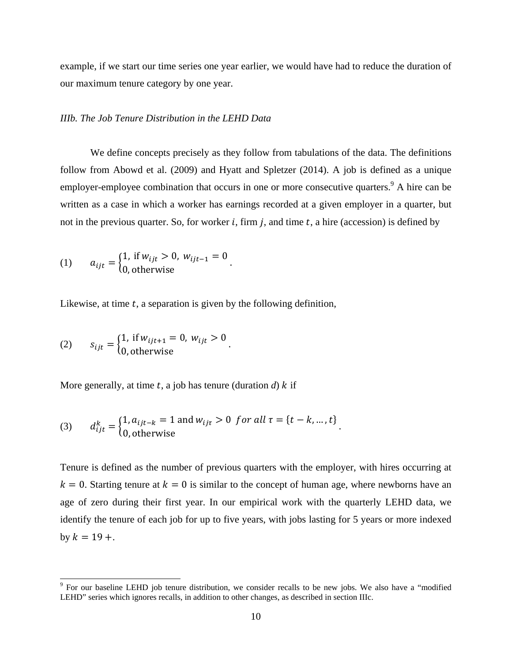example, if we start our time series one year earlier, we would have had to reduce the duration of our maximum tenure category by one year.

#### *IIIb. The Job Tenure Distribution in the LEHD Data*

 We define concepts precisely as they follow from tabulations of the data. The definitions follow from Abowd et al. (2009) and Hyatt and Spletzer (2014). A job is defined as a unique employer-employee combination that occurs in one or more consecutive quarters. <sup>9</sup> A hire can be written as a case in which a worker has earnings recorded at a given employer in a quarter, but not in the previous quarter. So, for worker  $i$ , firm  $j$ , and time  $t$ , a hire (accession) is defined by

(1) 
$$
a_{ijt} = \begin{cases} 1, & \text{if } w_{ijt} > 0, w_{ijt-1} = 0 \\ 0, & \text{otherwise} \end{cases}.
$$

Likewise, at time  $t$ , a separation is given by the following definition,

(2) 
$$
s_{ijt} = \begin{cases} 1, & \text{if } w_{ijt+1} = 0, \ w_{ijt} > 0 \\ 0, & \text{otherwise} \end{cases}.
$$

More generally, at time  $t$ , a job has tenure (duration  $d$ )  $k$  if

(3) 
$$
d_{ijt}^k = \begin{cases} 1, a_{ijt-k} = 1 \text{ and } w_{ij\tau} > 0 \text{ for all } \tau = \{t - k, ..., t\} \\ 0, \text{otherwise} \end{cases}.
$$

Tenure is defined as the number of previous quarters with the employer, with hires occurring at  $k = 0$ . Starting tenure at  $k = 0$  is similar to the concept of human age, where newborns have an age of zero during their first year. In our empirical work with the quarterly LEHD data, we identify the tenure of each job for up to five years, with jobs lasting for 5 years or more indexed by  $k = 19 +$ .

<sup>&</sup>lt;sup>9</sup> For our baseline LEHD job tenure distribution, we consider recalls to be new jobs. We also have a "modified" LEHD" series which ignores recalls, in addition to other changes, as described in section IIIc.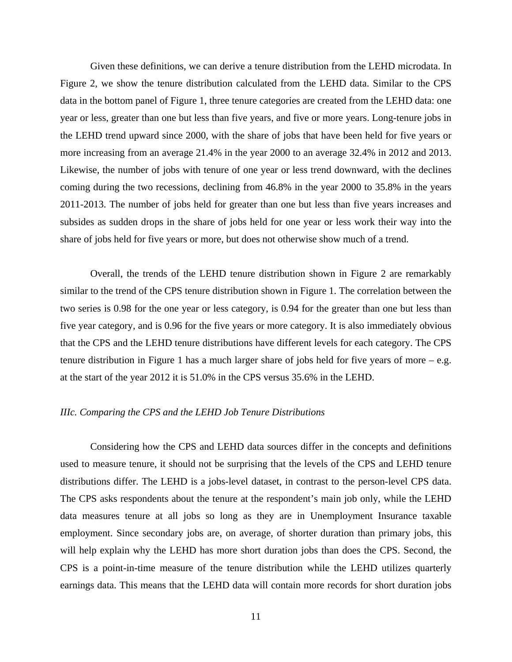Given these definitions, we can derive a tenure distribution from the LEHD microdata. In Figure 2, we show the tenure distribution calculated from the LEHD data. Similar to the CPS data in the bottom panel of Figure 1, three tenure categories are created from the LEHD data: one year or less, greater than one but less than five years, and five or more years. Long-tenure jobs in the LEHD trend upward since 2000, with the share of jobs that have been held for five years or more increasing from an average 21.4% in the year 2000 to an average 32.4% in 2012 and 2013. Likewise, the number of jobs with tenure of one year or less trend downward, with the declines coming during the two recessions, declining from 46.8% in the year 2000 to 35.8% in the years 2011-2013. The number of jobs held for greater than one but less than five years increases and subsides as sudden drops in the share of jobs held for one year or less work their way into the share of jobs held for five years or more, but does not otherwise show much of a trend.

 Overall, the trends of the LEHD tenure distribution shown in Figure 2 are remarkably similar to the trend of the CPS tenure distribution shown in Figure 1. The correlation between the two series is 0.98 for the one year or less category, is 0.94 for the greater than one but less than five year category, and is 0.96 for the five years or more category. It is also immediately obvious that the CPS and the LEHD tenure distributions have different levels for each category. The CPS tenure distribution in Figure 1 has a much larger share of jobs held for five years of more – e.g. at the start of the year 2012 it is 51.0% in the CPS versus 35.6% in the LEHD.

#### *IIIc. Comparing the CPS and the LEHD Job Tenure Distributions*

 Considering how the CPS and LEHD data sources differ in the concepts and definitions used to measure tenure, it should not be surprising that the levels of the CPS and LEHD tenure distributions differ. The LEHD is a jobs-level dataset, in contrast to the person-level CPS data. The CPS asks respondents about the tenure at the respondent's main job only, while the LEHD data measures tenure at all jobs so long as they are in Unemployment Insurance taxable employment. Since secondary jobs are, on average, of shorter duration than primary jobs, this will help explain why the LEHD has more short duration jobs than does the CPS. Second, the CPS is a point-in-time measure of the tenure distribution while the LEHD utilizes quarterly earnings data. This means that the LEHD data will contain more records for short duration jobs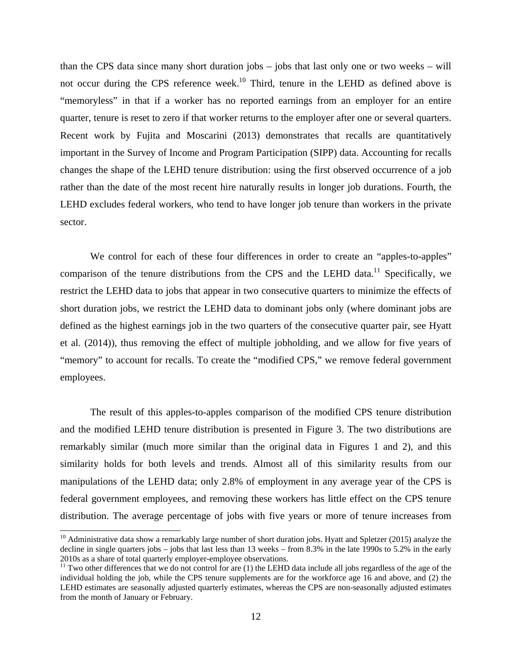than the CPS data since many short duration jobs – jobs that last only one or two weeks – will not occur during the CPS reference week.<sup>10</sup> Third, tenure in the LEHD as defined above is "memoryless" in that if a worker has no reported earnings from an employer for an entire quarter, tenure is reset to zero if that worker returns to the employer after one or several quarters. Recent work by Fujita and Moscarini (2013) demonstrates that recalls are quantitatively important in the Survey of Income and Program Participation (SIPP) data. Accounting for recalls changes the shape of the LEHD tenure distribution: using the first observed occurrence of a job rather than the date of the most recent hire naturally results in longer job durations. Fourth, the LEHD excludes federal workers, who tend to have longer job tenure than workers in the private sector.

We control for each of these four differences in order to create an "apples-to-apples" comparison of the tenure distributions from the CPS and the LEHD data.<sup>11</sup> Specifically, we restrict the LEHD data to jobs that appear in two consecutive quarters to minimize the effects of short duration jobs, we restrict the LEHD data to dominant jobs only (where dominant jobs are defined as the highest earnings job in the two quarters of the consecutive quarter pair, see Hyatt et al. (2014)), thus removing the effect of multiple jobholding, and we allow for five years of "memory" to account for recalls. To create the "modified CPS," we remove federal government employees.

 The result of this apples-to-apples comparison of the modified CPS tenure distribution and the modified LEHD tenure distribution is presented in Figure 3. The two distributions are remarkably similar (much more similar than the original data in Figures 1 and 2), and this similarity holds for both levels and trends. Almost all of this similarity results from our manipulations of the LEHD data; only 2.8% of employment in any average year of the CPS is federal government employees, and removing these workers has little effect on the CPS tenure distribution. The average percentage of jobs with five years or more of tenure increases from

 $\overline{a}$ 

 $10$  Administrative data show a remarkably large number of short duration jobs. Hyatt and Spletzer (2015) analyze the decline in single quarters jobs – jobs that last less than  $13$  weeks – from  $8.3\%$  in the late 1990s to  $5.2\%$  in the early 2010s as a share of total quarterly employer-employee observations.<br><sup>11</sup> Two other differences that we do not control for are (1) the LEHD data include all jobs regardless of the age of the

individual holding the job, while the CPS tenure supplements are for the workforce age 16 and above, and (2) the LEHD estimates are seasonally adjusted quarterly estimates, whereas the CPS are non-seasonally adjusted estimates from the month of January or February.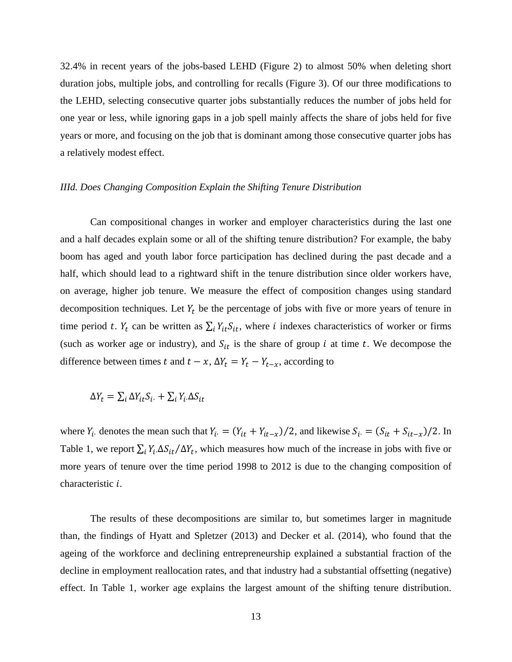32.4% in recent years of the jobs-based LEHD (Figure 2) to almost 50% when deleting short duration jobs, multiple jobs, and controlling for recalls (Figure 3). Of our three modifications to the LEHD, selecting consecutive quarter jobs substantially reduces the number of jobs held for one year or less, while ignoring gaps in a job spell mainly affects the share of jobs held for five years or more, and focusing on the job that is dominant among those consecutive quarter jobs has a relatively modest effect.

#### *IIId. Does Changing Composition Explain the Shifting Tenure Distribution*

 Can compositional changes in worker and employer characteristics during the last one and a half decades explain some or all of the shifting tenure distribution? For example, the baby boom has aged and youth labor force participation has declined during the past decade and a half, which should lead to a rightward shift in the tenure distribution since older workers have, on average, higher job tenure. We measure the effect of composition changes using standard decomposition techniques. Let  $Y_t$  be the percentage of jobs with five or more years of tenure in time period t.  $Y_t$  can be written as  $\sum_i Y_{it} S_{it}$ , where i indexes characteristics of worker or firms (such as worker age or industry), and  $S_{it}$  is the share of group i at time t. We decompose the difference between times t and  $t - x$ ,  $\Delta Y_t = Y_t - Y_{t-x}$ , according to

$$
\Delta Y_t = \sum_i \Delta Y_{it} S_i + \sum_i Y_i \Delta S_{it}
$$

where  $Y_i$  denotes the mean such that  $Y_i = (Y_{it} + Y_{it-x})/2$ , and likewise  $S_i = (S_{it} + S_{it-x})/2$ . In Table 1, we report  $\sum_i Y_i \Delta S_{it}/\Delta Y_t$ , which measures how much of the increase in jobs with five or more years of tenure over the time period 1998 to 2012 is due to the changing composition of characteristic *i*.

 The results of these decompositions are similar to, but sometimes larger in magnitude than, the findings of Hyatt and Spletzer (2013) and Decker et al. (2014), who found that the ageing of the workforce and declining entrepreneurship explained a substantial fraction of the decline in employment reallocation rates, and that industry had a substantial offsetting (negative) effect. In Table 1, worker age explains the largest amount of the shifting tenure distribution.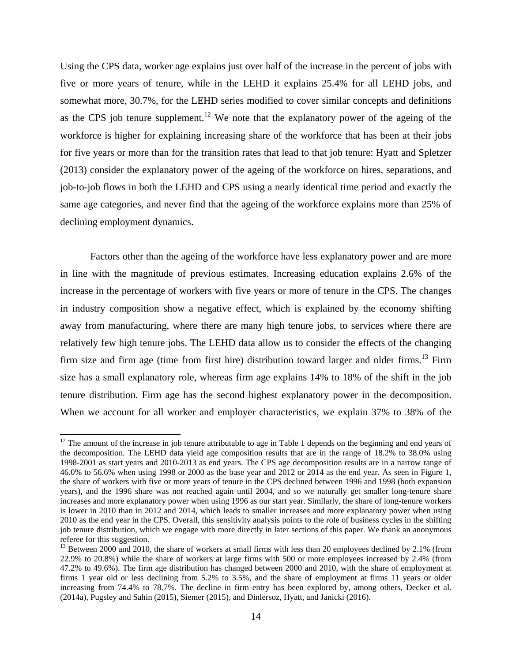Using the CPS data, worker age explains just over half of the increase in the percent of jobs with five or more years of tenure, while in the LEHD it explains 25.4% for all LEHD jobs, and somewhat more, 30.7%, for the LEHD series modified to cover similar concepts and definitions as the CPS job tenure supplement.<sup>12</sup> We note that the explanatory power of the ageing of the workforce is higher for explaining increasing share of the workforce that has been at their jobs for five years or more than for the transition rates that lead to that job tenure: Hyatt and Spletzer (2013) consider the explanatory power of the ageing of the workforce on hires, separations, and job-to-job flows in both the LEHD and CPS using a nearly identical time period and exactly the same age categories, and never find that the ageing of the workforce explains more than 25% of declining employment dynamics.

Factors other than the ageing of the workforce have less explanatory power and are more in line with the magnitude of previous estimates. Increasing education explains 2.6% of the increase in the percentage of workers with five years or more of tenure in the CPS. The changes in industry composition show a negative effect, which is explained by the economy shifting away from manufacturing, where there are many high tenure jobs, to services where there are relatively few high tenure jobs. The LEHD data allow us to consider the effects of the changing firm size and firm age (time from first hire) distribution toward larger and older firms.<sup>13</sup> Firm size has a small explanatory role, whereas firm age explains 14% to 18% of the shift in the job tenure distribution. Firm age has the second highest explanatory power in the decomposition. When we account for all worker and employer characteristics, we explain 37% to 38% of the

 $\overline{a}$ 

 $12$  The amount of the increase in job tenure attributable to age in Table 1 depends on the beginning and end years of the decomposition. The LEHD data yield age composition results that are in the range of 18.2% to 38.0% using 1998-2001 as start years and 2010-2013 as end years. The CPS age decomposition results are in a narrow range of 46.0% to 56.6% when using 1998 or 2000 as the base year and 2012 or 2014 as the end year. As seen in Figure 1, the share of workers with five or more years of tenure in the CPS declined between 1996 and 1998 (both expansion years), and the 1996 share was not reached again until 2004, and so we naturally get smaller long-tenure share increases and more explanatory power when using 1996 as our start year. Similarly, the share of long-tenure workers is lower in 2010 than in 2012 and 2014, which leads to smaller increases and more explanatory power when using 2010 as the end year in the CPS. Overall, this sensitivity analysis points to the role of business cycles in the shifting job tenure distribution, which we engage with more directly in later sections of this paper. We thank an anonymous referee for this suggestion.

<sup>&</sup>lt;sup>13</sup> Between 2000 and 2010, the share of workers at small firms with less than 20 employees declined by 2.1% (from 22.9% to 20.8%) while the share of workers at large firms with 500 or more employees increased by 2.4% (from 47.2% to 49.6%). The firm age distribution has changed between 2000 and 2010, with the share of employment at firms 1 year old or less declining from 5.2% to 3.5%, and the share of employment at firms 11 years or older increasing from 74.4% to 78.7%. The decline in firm entry has been explored by, among others, Decker et al. (2014a), Pugsley and Sahin (2015), Siemer (2015), and Dinlersoz, Hyatt, and Janicki (2016).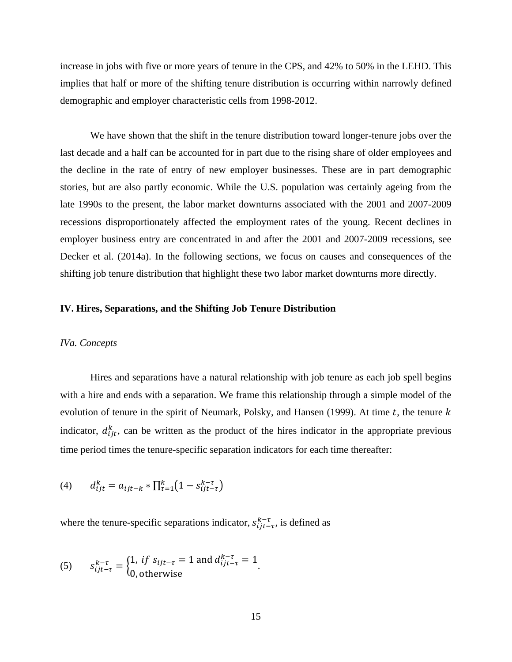increase in jobs with five or more years of tenure in the CPS, and 42% to 50% in the LEHD. This implies that half or more of the shifting tenure distribution is occurring within narrowly defined demographic and employer characteristic cells from 1998-2012.

 We have shown that the shift in the tenure distribution toward longer-tenure jobs over the last decade and a half can be accounted for in part due to the rising share of older employees and the decline in the rate of entry of new employer businesses. These are in part demographic stories, but are also partly economic. While the U.S. population was certainly ageing from the late 1990s to the present, the labor market downturns associated with the 2001 and 2007-2009 recessions disproportionately affected the employment rates of the young. Recent declines in employer business entry are concentrated in and after the 2001 and 2007-2009 recessions, see Decker et al. (2014a). In the following sections, we focus on causes and consequences of the shifting job tenure distribution that highlight these two labor market downturns more directly.

#### **IV. Hires, Separations, and the Shifting Job Tenure Distribution**

#### *IVa. Concepts*

 Hires and separations have a natural relationship with job tenure as each job spell begins with a hire and ends with a separation. We frame this relationship through a simple model of the evolution of tenure in the spirit of Neumark, Polsky, and Hansen (1999). At time  $t$ , the tenure  $k$ indicator,  $d_{ijt}^k$ , can be written as the product of the hires indicator in the appropriate previous time period times the tenure-specific separation indicators for each time thereafter:

(4) 
$$
d_{ijt}^k = a_{ijt-k} * \prod_{\tau=1}^k (1 - s_{ijt-\tau}^{k-\tau})
$$

where the tenure-specific separations indicator,  $s_{ijt-\tau}^{k-\tau}$ , is defined as

(5) 
$$
s_{ijt-\tau}^{k-\tau} = \begin{cases} 1, & \text{if } s_{ijt-\tau} = 1 \text{ and } d_{ijt-\tau}^{k-\tau} = 1 \\ 0, & \text{otherwise} \end{cases}
$$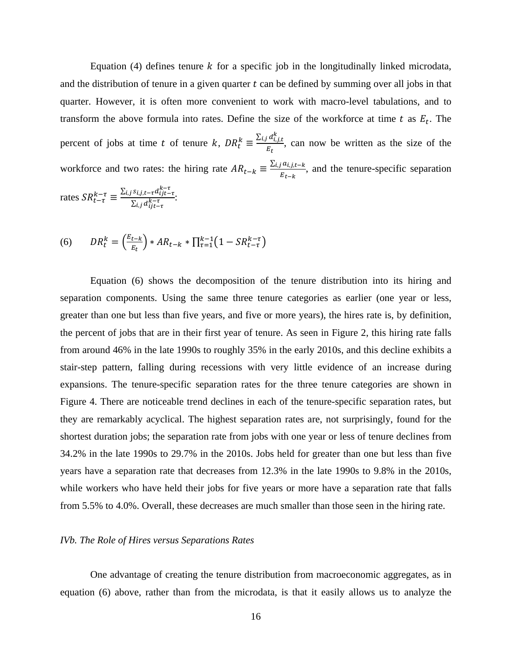Equation (4) defines tenure  $k$  for a specific job in the longitudinally linked microdata, and the distribution of tenure in a given quarter  $t$  can be defined by summing over all jobs in that quarter. However, it is often more convenient to work with macro-level tabulations, and to transform the above formula into rates. Define the size of the workforce at time t as  $E_t$ . The percent of jobs at time t of tenure k,  $DR_t^k \equiv \frac{\sum_{i,j} d_{i,j,t}^k}{F_k}$  $\frac{a_{i,j,t}}{E_t}$ , can now be written as the size of the workforce and two rates: the hiring rate  $AR_{t-k} \equiv \frac{\sum_{i,j} a_{i,j,t-k}}{F_{t-k}}$  $\frac{\mu_{i,j,t-k}}{E_{t-k}}$ , and the tenure-specific separation rates  $SR_{t-\tau}^{k-\tau} \equiv \frac{\sum_{i,j} s_{i,j,t-\tau} d_{ijt-\tau}^{k-\tau}}{\sum_{i,j} d_{i}^{k-\tau}}$  $\frac{\sum_{i,j} t - \tau \alpha_{ij} t - \tau}{\sum_{i,j} d_{ij}^{k-\tau}}$ .

(6) 
$$
DR_t^k = \left(\frac{E_{t-k}}{E_t}\right) * AR_{t-k} * \prod_{\tau=1}^{k-1} \left(1 - SR_{t-\tau}^{k-\tau}\right)
$$

 Equation (6) shows the decomposition of the tenure distribution into its hiring and separation components. Using the same three tenure categories as earlier (one year or less, greater than one but less than five years, and five or more years), the hires rate is, by definition, the percent of jobs that are in their first year of tenure. As seen in Figure 2, this hiring rate falls from around 46% in the late 1990s to roughly 35% in the early 2010s, and this decline exhibits a stair-step pattern, falling during recessions with very little evidence of an increase during expansions. The tenure-specific separation rates for the three tenure categories are shown in Figure 4. There are noticeable trend declines in each of the tenure-specific separation rates, but they are remarkably acyclical. The highest separation rates are, not surprisingly, found for the shortest duration jobs; the separation rate from jobs with one year or less of tenure declines from 34.2% in the late 1990s to 29.7% in the 2010s. Jobs held for greater than one but less than five years have a separation rate that decreases from 12.3% in the late 1990s to 9.8% in the 2010s, while workers who have held their jobs for five years or more have a separation rate that falls from 5.5% to 4.0%. Overall, these decreases are much smaller than those seen in the hiring rate.

#### *IVb. The Role of Hires versus Separations Rates*

 One advantage of creating the tenure distribution from macroeconomic aggregates, as in equation (6) above, rather than from the microdata, is that it easily allows us to analyze the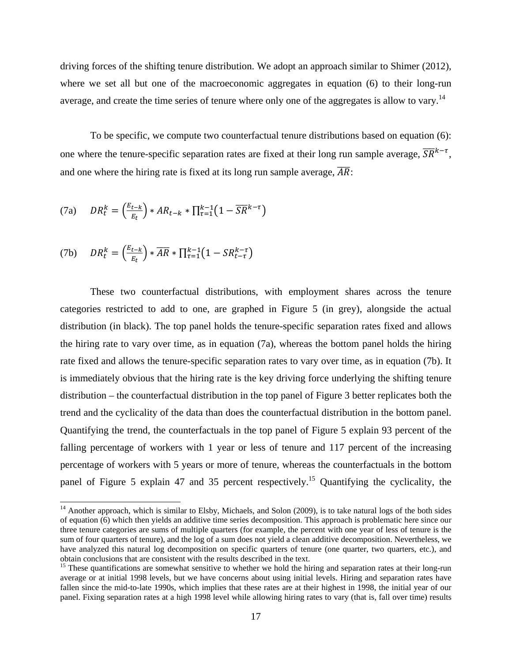driving forces of the shifting tenure distribution. We adopt an approach similar to Shimer (2012), where we set all but one of the macroeconomic aggregates in equation (6) to their long-run average, and create the time series of tenure where only one of the aggregates is allow to vary.<sup>14</sup>

 To be specific, we compute two counterfactual tenure distributions based on equation (6): one where the tenure-specific separation rates are fixed at their long run sample average,  $\overline{SR}^{k-\tau}$ , and one where the hiring rate is fixed at its long run sample average,  $\overline{AR}$ :

(7a) 
$$
DR_t^k = \left(\frac{E_{t-k}}{E_t}\right) * AR_{t-k} * \prod_{\tau=1}^{k-1} \left(1 - \overline{SR}^{k-\tau}\right)
$$

(7b) 
$$
DR_t^k = \left(\frac{E_{t-k}}{E_t}\right) * \overline{AR} * \prod_{\tau=1}^{k-1} \left(1 - SR_{t-\tau}^{k-\tau}\right)
$$

 $\overline{a}$ 

 These two counterfactual distributions, with employment shares across the tenure categories restricted to add to one, are graphed in Figure 5 (in grey), alongside the actual distribution (in black). The top panel holds the tenure-specific separation rates fixed and allows the hiring rate to vary over time, as in equation (7a), whereas the bottom panel holds the hiring rate fixed and allows the tenure-specific separation rates to vary over time, as in equation (7b). It is immediately obvious that the hiring rate is the key driving force underlying the shifting tenure distribution – the counterfactual distribution in the top panel of Figure 3 better replicates both the trend and the cyclicality of the data than does the counterfactual distribution in the bottom panel. Quantifying the trend, the counterfactuals in the top panel of Figure 5 explain 93 percent of the falling percentage of workers with 1 year or less of tenure and 117 percent of the increasing percentage of workers with 5 years or more of tenure, whereas the counterfactuals in the bottom panel of Figure 5 explain 47 and 35 percent respectively.<sup>15</sup> Quantifying the cyclicality, the

 $14$  Another approach, which is similar to Elsby, Michaels, and Solon (2009), is to take natural logs of the both sides of equation (6) which then yields an additive time series decomposition. This approach is problematic here since our three tenure categories are sums of multiple quarters (for example, the percent with one year of less of tenure is the sum of four quarters of tenure), and the log of a sum does not yield a clean additive decomposition. Nevertheless, we have analyzed this natural log decomposition on specific quarters of tenure (one quarter, two quarters, etc.), and obtain conclusions that are consistent with the results described in the text.

<sup>&</sup>lt;sup>15</sup> These quantifications are somewhat sensitive to whether we hold the hiring and separation rates at their long-run average or at initial 1998 levels, but we have concerns about using initial levels. Hiring and separation rates have fallen since the mid-to-late 1990s, which implies that these rates are at their highest in 1998, the initial year of our panel. Fixing separation rates at a high 1998 level while allowing hiring rates to vary (that is, fall over time) results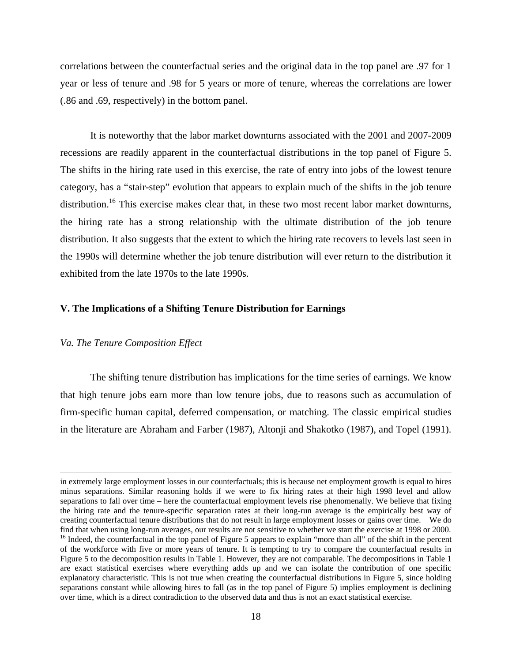correlations between the counterfactual series and the original data in the top panel are .97 for 1 year or less of tenure and .98 for 5 years or more of tenure, whereas the correlations are lower (.86 and .69, respectively) in the bottom panel.

It is noteworthy that the labor market downturns associated with the 2001 and 2007-2009 recessions are readily apparent in the counterfactual distributions in the top panel of Figure 5. The shifts in the hiring rate used in this exercise, the rate of entry into jobs of the lowest tenure category, has a "stair-step" evolution that appears to explain much of the shifts in the job tenure distribution.<sup>16</sup> This exercise makes clear that, in these two most recent labor market downturns, the hiring rate has a strong relationship with the ultimate distribution of the job tenure distribution. It also suggests that the extent to which the hiring rate recovers to levels last seen in the 1990s will determine whether the job tenure distribution will ever return to the distribution it exhibited from the late 1970s to the late 1990s.

#### **V. The Implications of a Shifting Tenure Distribution for Earnings**

#### *Va. The Tenure Composition Effect*

 $\overline{a}$ 

 The shifting tenure distribution has implications for the time series of earnings. We know that high tenure jobs earn more than low tenure jobs, due to reasons such as accumulation of firm-specific human capital, deferred compensation, or matching. The classic empirical studies in the literature are Abraham and Farber (1987), Altonji and Shakotko (1987), and Topel (1991).

in extremely large employment losses in our counterfactuals; this is because net employment growth is equal to hires minus separations. Similar reasoning holds if we were to fix hiring rates at their high 1998 level and allow separations to fall over time – here the counterfactual employment levels rise phenomenally. We believe that fixing the hiring rate and the tenure-specific separation rates at their long-run average is the empirically best way of creating counterfactual tenure distributions that do not result in large employment losses or gains over time. We do find that when using long-run averages, our results are not sensitive to whether we start the exercise at 1998 or 2000.<br><sup>16</sup> Indeed, the counterfactual in the top panel of Figure 5 appears to explain "more than all" of the of the workforce with five or more years of tenure. It is tempting to try to compare the counterfactual results in Figure 5 to the decomposition results in Table 1. However, they are not comparable. The decompositions in Table 1 are exact statistical exercises where everything adds up and we can isolate the contribution of one specific explanatory characteristic. This is not true when creating the counterfactual distributions in Figure 5, since holding separations constant while allowing hires to fall (as in the top panel of Figure 5) implies employment is declining over time, which is a direct contradiction to the observed data and thus is not an exact statistical exercise.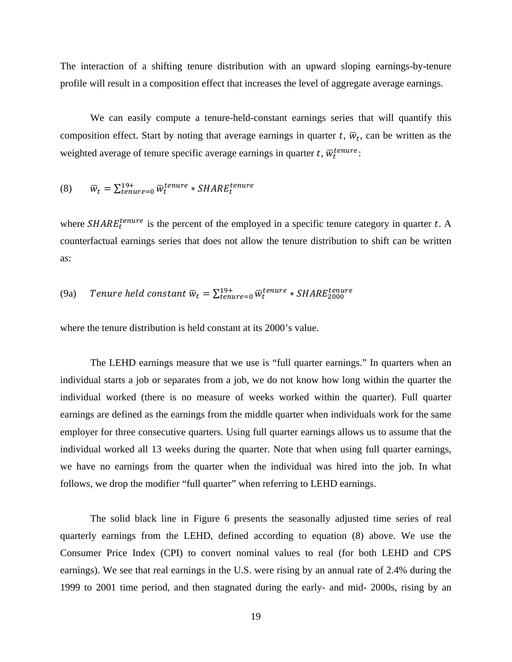The interaction of a shifting tenure distribution with an upward sloping earnings-by-tenure profile will result in a composition effect that increases the level of aggregate average earnings.

 We can easily compute a tenure-held-constant earnings series that will quantify this composition effect. Start by noting that average earnings in quarter t,  $\overline{w}_t$ , can be written as the weighted average of tenure specific average earnings in quarter  $t$ ,  $\overline{w}_{t}^{t_{enure}}$ :

$$
(8) \qquad \overline{w}_t = \sum_{\text{tenure}=0}^{19+} \overline{w}_t^{\text{tenure}} * \text{SHARE}_t^{\text{tenure}}
$$

where  $SHARE<sub>t</sub><sup>tenure</sup>$  is the percent of the employed in a specific tenure category in quarter t. A counterfactual earnings series that does not allow the tenure distribution to shift can be written as:

(9a) *Tenure held constant* 
$$
\overline{w}_t = \sum_{\text{tenure}=0}^{19+} \overline{w}_t^{\text{tenure}} * \text{SHARE}_{2000}^{\text{tenure}}
$$

where the tenure distribution is held constant at its 2000's value.

 The LEHD earnings measure that we use is "full quarter earnings." In quarters when an individual starts a job or separates from a job, we do not know how long within the quarter the individual worked (there is no measure of weeks worked within the quarter). Full quarter earnings are defined as the earnings from the middle quarter when individuals work for the same employer for three consecutive quarters. Using full quarter earnings allows us to assume that the individual worked all 13 weeks during the quarter. Note that when using full quarter earnings, we have no earnings from the quarter when the individual was hired into the job. In what follows, we drop the modifier "full quarter" when referring to LEHD earnings.

 The solid black line in Figure 6 presents the seasonally adjusted time series of real quarterly earnings from the LEHD, defined according to equation (8) above. We use the Consumer Price Index (CPI) to convert nominal values to real (for both LEHD and CPS earnings). We see that real earnings in the U.S. were rising by an annual rate of 2.4% during the 1999 to 2001 time period, and then stagnated during the early- and mid- 2000s, rising by an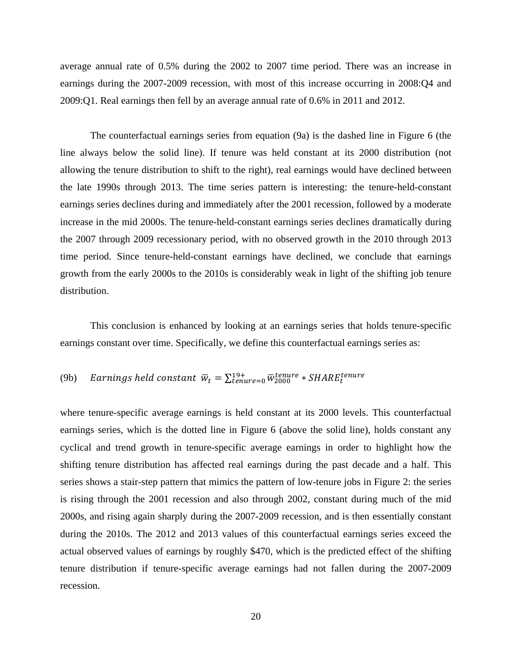average annual rate of 0.5% during the 2002 to 2007 time period. There was an increase in earnings during the 2007-2009 recession, with most of this increase occurring in 2008:Q4 and 2009:Q1. Real earnings then fell by an average annual rate of 0.6% in 2011 and 2012.

 The counterfactual earnings series from equation (9a) is the dashed line in Figure 6 (the line always below the solid line). If tenure was held constant at its 2000 distribution (not allowing the tenure distribution to shift to the right), real earnings would have declined between the late 1990s through 2013. The time series pattern is interesting: the tenure-held-constant earnings series declines during and immediately after the 2001 recession, followed by a moderate increase in the mid 2000s. The tenure-held-constant earnings series declines dramatically during the 2007 through 2009 recessionary period, with no observed growth in the 2010 through 2013 time period. Since tenure-held-constant earnings have declined, we conclude that earnings growth from the early 2000s to the 2010s is considerably weak in light of the shifting job tenure distribution.

 This conclusion is enhanced by looking at an earnings series that holds tenure-specific earnings constant over time. Specifically, we define this counterfactual earnings series as:

(9b) *Earnings held constant* 
$$
\overline{w}_t = \sum_{tenure=0}^{19+} \overline{w}_{2000}^{tenure} * SHARE_t^{tenure}
$$

where tenure-specific average earnings is held constant at its 2000 levels. This counterfactual earnings series, which is the dotted line in Figure 6 (above the solid line), holds constant any cyclical and trend growth in tenure-specific average earnings in order to highlight how the shifting tenure distribution has affected real earnings during the past decade and a half. This series shows a stair-step pattern that mimics the pattern of low-tenure jobs in Figure 2: the series is rising through the 2001 recession and also through 2002, constant during much of the mid 2000s, and rising again sharply during the 2007-2009 recession, and is then essentially constant during the 2010s. The 2012 and 2013 values of this counterfactual earnings series exceed the actual observed values of earnings by roughly \$470, which is the predicted effect of the shifting tenure distribution if tenure-specific average earnings had not fallen during the 2007-2009 recession.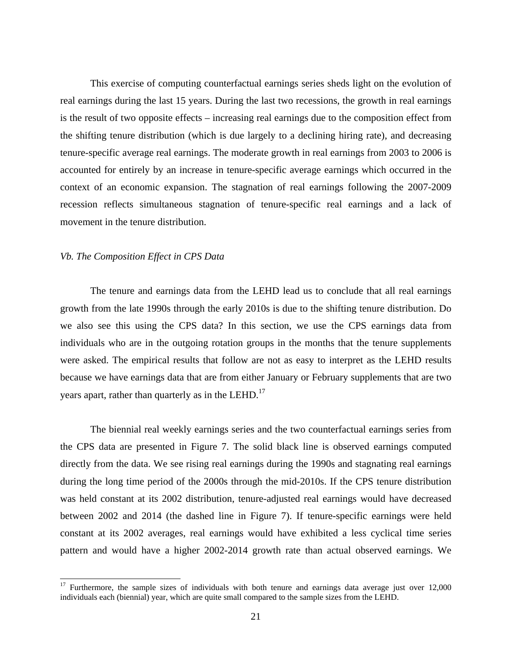This exercise of computing counterfactual earnings series sheds light on the evolution of real earnings during the last 15 years. During the last two recessions, the growth in real earnings is the result of two opposite effects – increasing real earnings due to the composition effect from the shifting tenure distribution (which is due largely to a declining hiring rate), and decreasing tenure-specific average real earnings. The moderate growth in real earnings from 2003 to 2006 is accounted for entirely by an increase in tenure-specific average earnings which occurred in the context of an economic expansion. The stagnation of real earnings following the 2007-2009 recession reflects simultaneous stagnation of tenure-specific real earnings and a lack of movement in the tenure distribution.

#### *Vb. The Composition Effect in CPS Data*

 $\overline{a}$ 

 The tenure and earnings data from the LEHD lead us to conclude that all real earnings growth from the late 1990s through the early 2010s is due to the shifting tenure distribution. Do we also see this using the CPS data? In this section, we use the CPS earnings data from individuals who are in the outgoing rotation groups in the months that the tenure supplements were asked. The empirical results that follow are not as easy to interpret as the LEHD results because we have earnings data that are from either January or February supplements that are two years apart, rather than quarterly as in the LEHD.<sup>17</sup>

 The biennial real weekly earnings series and the two counterfactual earnings series from the CPS data are presented in Figure 7. The solid black line is observed earnings computed directly from the data. We see rising real earnings during the 1990s and stagnating real earnings during the long time period of the 2000s through the mid-2010s. If the CPS tenure distribution was held constant at its 2002 distribution, tenure-adjusted real earnings would have decreased between 2002 and 2014 (the dashed line in Figure 7). If tenure-specific earnings were held constant at its 2002 averages, real earnings would have exhibited a less cyclical time series pattern and would have a higher 2002-2014 growth rate than actual observed earnings. We

<sup>&</sup>lt;sup>17</sup> Furthermore, the sample sizes of individuals with both tenure and earnings data average just over  $12,000$ individuals each (biennial) year, which are quite small compared to the sample sizes from the LEHD.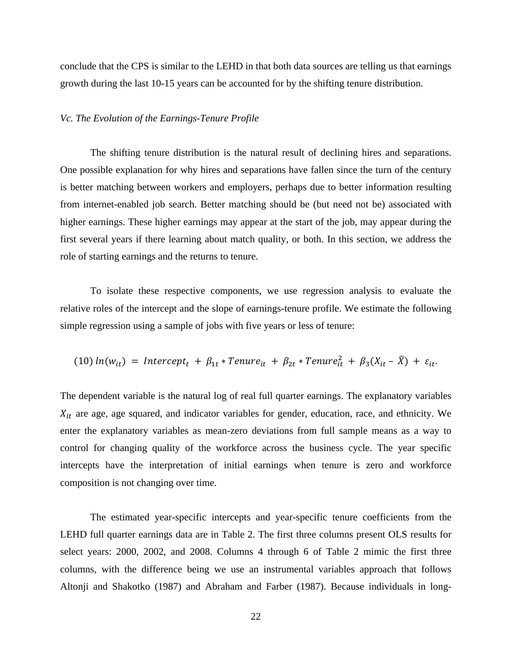conclude that the CPS is similar to the LEHD in that both data sources are telling us that earnings growth during the last 10-15 years can be accounted for by the shifting tenure distribution.

#### *Vc. The Evolution of the Earnings-Tenure Profile*

 The shifting tenure distribution is the natural result of declining hires and separations. One possible explanation for why hires and separations have fallen since the turn of the century is better matching between workers and employers, perhaps due to better information resulting from internet-enabled job search. Better matching should be (but need not be) associated with higher earnings. These higher earnings may appear at the start of the job, may appear during the first several years if there learning about match quality, or both. In this section, we address the role of starting earnings and the returns to tenure.

To isolate these respective components, we use regression analysis to evaluate the relative roles of the intercept and the slope of earnings-tenure profile. We estimate the following simple regression using a sample of jobs with five years or less of tenure:

(10) 
$$
ln(w_{it})
$$
 =  $Intercept_t + \beta_{1t} * Tenure_{it} + \beta_{2t} * Tenure_{it}^2 + \beta_3(X_{it} - \overline{X}) + \varepsilon_{it}$ .

The dependent variable is the natural log of real full quarter earnings. The explanatory variables  $X_{it}$  are age, age squared, and indicator variables for gender, education, race, and ethnicity. We enter the explanatory variables as mean-zero deviations from full sample means as a way to control for changing quality of the workforce across the business cycle. The year specific intercepts have the interpretation of initial earnings when tenure is zero and workforce composition is not changing over time.

 The estimated year-specific intercepts and year-specific tenure coefficients from the LEHD full quarter earnings data are in Table 2. The first three columns present OLS results for select years: 2000, 2002, and 2008. Columns 4 through 6 of Table 2 mimic the first three columns, with the difference being we use an instrumental variables approach that follows Altonji and Shakotko (1987) and Abraham and Farber (1987). Because individuals in long-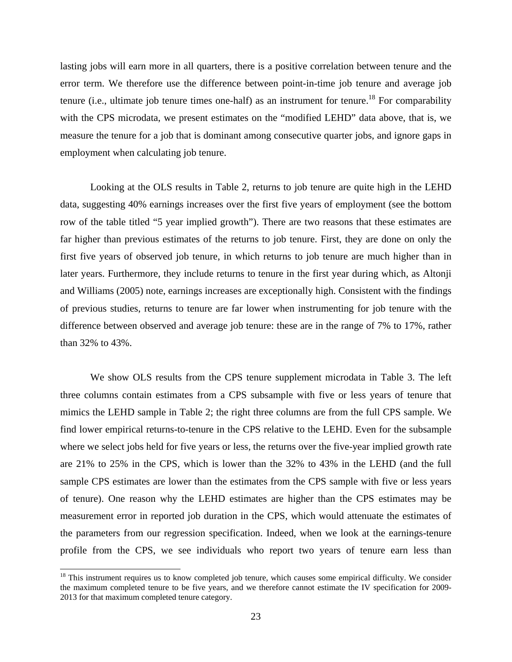lasting jobs will earn more in all quarters, there is a positive correlation between tenure and the error term. We therefore use the difference between point-in-time job tenure and average job tenure (i.e., ultimate job tenure times one-half) as an instrument for tenure.<sup>18</sup> For comparability with the CPS microdata, we present estimates on the "modified LEHD" data above, that is, we measure the tenure for a job that is dominant among consecutive quarter jobs, and ignore gaps in employment when calculating job tenure.

 Looking at the OLS results in Table 2, returns to job tenure are quite high in the LEHD data, suggesting 40% earnings increases over the first five years of employment (see the bottom row of the table titled "5 year implied growth"). There are two reasons that these estimates are far higher than previous estimates of the returns to job tenure. First, they are done on only the first five years of observed job tenure, in which returns to job tenure are much higher than in later years. Furthermore, they include returns to tenure in the first year during which, as Altonji and Williams (2005) note, earnings increases are exceptionally high. Consistent with the findings of previous studies, returns to tenure are far lower when instrumenting for job tenure with the difference between observed and average job tenure: these are in the range of 7% to 17%, rather than 32% to 43%.

 We show OLS results from the CPS tenure supplement microdata in Table 3. The left three columns contain estimates from a CPS subsample with five or less years of tenure that mimics the LEHD sample in Table 2; the right three columns are from the full CPS sample. We find lower empirical returns-to-tenure in the CPS relative to the LEHD. Even for the subsample where we select jobs held for five years or less, the returns over the five-year implied growth rate are 21% to 25% in the CPS, which is lower than the 32% to 43% in the LEHD (and the full sample CPS estimates are lower than the estimates from the CPS sample with five or less years of tenure). One reason why the LEHD estimates are higher than the CPS estimates may be measurement error in reported job duration in the CPS, which would attenuate the estimates of the parameters from our regression specification. Indeed, when we look at the earnings-tenure profile from the CPS, we see individuals who report two years of tenure earn less than

l

 $18$  This instrument requires us to know completed job tenure, which causes some empirical difficulty. We consider the maximum completed tenure to be five years, and we therefore cannot estimate the IV specification for 2009- 2013 for that maximum completed tenure category.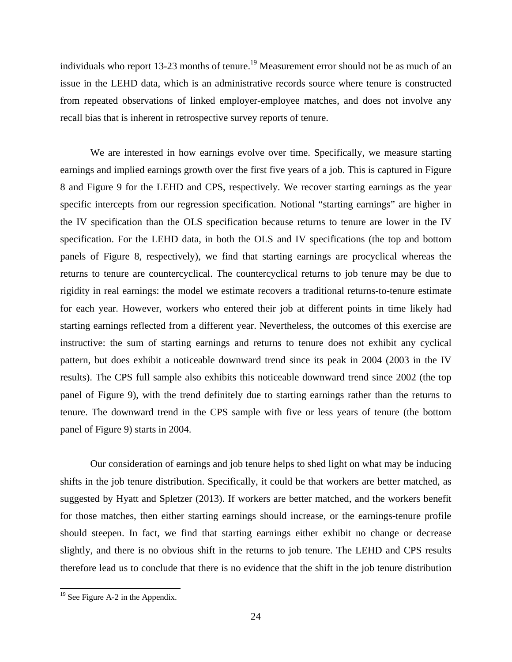individuals who report 13-23 months of tenure.<sup>19</sup> Measurement error should not be as much of an issue in the LEHD data, which is an administrative records source where tenure is constructed from repeated observations of linked employer-employee matches, and does not involve any recall bias that is inherent in retrospective survey reports of tenure.

 We are interested in how earnings evolve over time. Specifically, we measure starting earnings and implied earnings growth over the first five years of a job. This is captured in Figure 8 and Figure 9 for the LEHD and CPS, respectively. We recover starting earnings as the year specific intercepts from our regression specification. Notional "starting earnings" are higher in the IV specification than the OLS specification because returns to tenure are lower in the IV specification. For the LEHD data, in both the OLS and IV specifications (the top and bottom panels of Figure 8, respectively), we find that starting earnings are procyclical whereas the returns to tenure are countercyclical. The countercyclical returns to job tenure may be due to rigidity in real earnings: the model we estimate recovers a traditional returns-to-tenure estimate for each year. However, workers who entered their job at different points in time likely had starting earnings reflected from a different year. Nevertheless, the outcomes of this exercise are instructive: the sum of starting earnings and returns to tenure does not exhibit any cyclical pattern, but does exhibit a noticeable downward trend since its peak in 2004 (2003 in the IV results). The CPS full sample also exhibits this noticeable downward trend since 2002 (the top panel of Figure 9), with the trend definitely due to starting earnings rather than the returns to tenure. The downward trend in the CPS sample with five or less years of tenure (the bottom panel of Figure 9) starts in 2004.

Our consideration of earnings and job tenure helps to shed light on what may be inducing shifts in the job tenure distribution. Specifically, it could be that workers are better matched, as suggested by Hyatt and Spletzer (2013). If workers are better matched, and the workers benefit for those matches, then either starting earnings should increase, or the earnings-tenure profile should steepen. In fact, we find that starting earnings either exhibit no change or decrease slightly, and there is no obvious shift in the returns to job tenure. The LEHD and CPS results therefore lead us to conclude that there is no evidence that the shift in the job tenure distribution

 $\overline{a}$ 

 $19$  See Figure A-2 in the Appendix.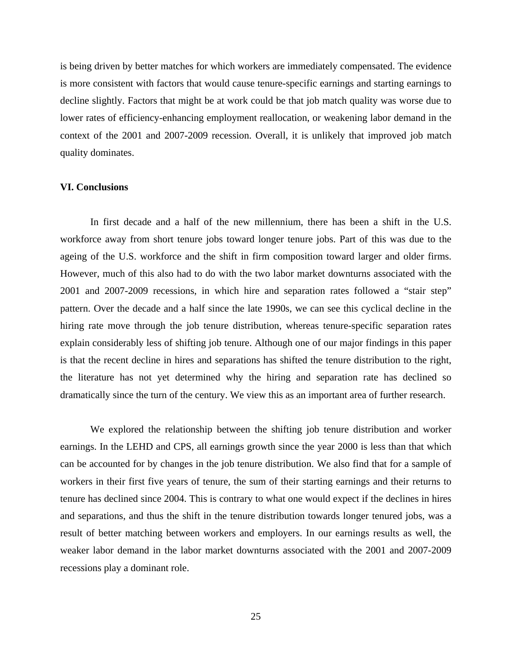is being driven by better matches for which workers are immediately compensated. The evidence is more consistent with factors that would cause tenure-specific earnings and starting earnings to decline slightly. Factors that might be at work could be that job match quality was worse due to lower rates of efficiency-enhancing employment reallocation, or weakening labor demand in the context of the 2001 and 2007-2009 recession. Overall, it is unlikely that improved job match quality dominates.

#### **VI. Conclusions**

 In first decade and a half of the new millennium, there has been a shift in the U.S. workforce away from short tenure jobs toward longer tenure jobs. Part of this was due to the ageing of the U.S. workforce and the shift in firm composition toward larger and older firms. However, much of this also had to do with the two labor market downturns associated with the 2001 and 2007-2009 recessions, in which hire and separation rates followed a "stair step" pattern. Over the decade and a half since the late 1990s, we can see this cyclical decline in the hiring rate move through the job tenure distribution, whereas tenure-specific separation rates explain considerably less of shifting job tenure. Although one of our major findings in this paper is that the recent decline in hires and separations has shifted the tenure distribution to the right, the literature has not yet determined why the hiring and separation rate has declined so dramatically since the turn of the century. We view this as an important area of further research.

 We explored the relationship between the shifting job tenure distribution and worker earnings. In the LEHD and CPS, all earnings growth since the year 2000 is less than that which can be accounted for by changes in the job tenure distribution. We also find that for a sample of workers in their first five years of tenure, the sum of their starting earnings and their returns to tenure has declined since 2004. This is contrary to what one would expect if the declines in hires and separations, and thus the shift in the tenure distribution towards longer tenured jobs, was a result of better matching between workers and employers. In our earnings results as well, the weaker labor demand in the labor market downturns associated with the 2001 and 2007-2009 recessions play a dominant role.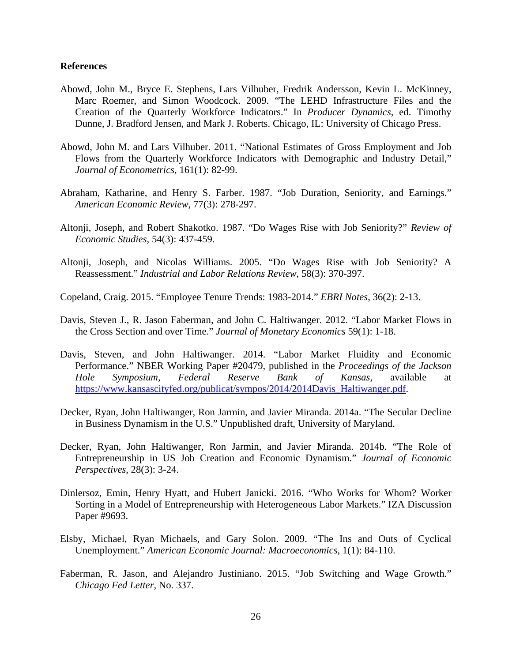#### **References**

- Abowd, John M., Bryce E. Stephens, Lars Vilhuber, Fredrik Andersson, Kevin L. McKinney, Marc Roemer, and Simon Woodcock. 2009. "The LEHD Infrastructure Files and the Creation of the Quarterly Workforce Indicators." In *Producer Dynamics*, ed. Timothy Dunne, J. Bradford Jensen, and Mark J. Roberts. Chicago, IL: University of Chicago Press.
- Abowd, John M. and Lars Vilhuber. 2011. "National Estimates of Gross Employment and Job Flows from the Quarterly Workforce Indicators with Demographic and Industry Detail," *Journal of Econometrics,* 161(1): 82-99.
- Abraham, Katharine, and Henry S. Farber. 1987. "Job Duration, Seniority, and Earnings." *American Economic Review*, 77(3): 278-297.
- Altonji, Joseph, and Robert Shakotko. 1987. "Do Wages Rise with Job Seniority?" *Review of Economic Studies*, 54(3): 437-459.
- Altonji, Joseph, and Nicolas Williams. 2005. "Do Wages Rise with Job Seniority? A Reassessment." *Industrial and Labor Relations Review*, 58(3): 370-397.
- Copeland, Craig. 2015. "Employee Tenure Trends: 1983-2014." *EBRI Notes*, 36(2): 2-13.
- Davis, Steven J., R. Jason Faberman, and John C. Haltiwanger. 2012. "Labor Market Flows in the Cross Section and over Time." *Journal of Monetary Economics* 59(1): 1-18.
- Davis, Steven, and John Haltiwanger. 2014. "Labor Market Fluidity and Economic Performance." NBER Working Paper #20479, published in the *Proceedings of the Jackson Hole Symposium, Federal Reserve Bank of Kansas*, available at https://www.kansascityfed.org/publicat/sympos/2014/2014Davis\_Haltiwanger.pdf.
- Decker, Ryan, John Haltiwanger, Ron Jarmin, and Javier Miranda. 2014a. "The Secular Decline in Business Dynamism in the U.S." Unpublished draft, University of Maryland.
- Decker, Ryan, John Haltiwanger, Ron Jarmin, and Javier Miranda. 2014b. "The Role of Entrepreneurship in US Job Creation and Economic Dynamism." *Journal of Economic Perspectives*, 28(3): 3-24.
- Dinlersoz, Emin, Henry Hyatt, and Hubert Janicki. 2016. "Who Works for Whom? Worker Sorting in a Model of Entrepreneurship with Heterogeneous Labor Markets." IZA Discussion Paper #9693.
- Elsby, Michael, Ryan Michaels, and Gary Solon. 2009. "The Ins and Outs of Cyclical Unemployment." *American Economic Journal: Macroeconomics*, 1(1): 84-110.
- Faberman, R. Jason, and Alejandro Justiniano. 2015. "Job Switching and Wage Growth." *Chicago Fed Letter*, No. 337.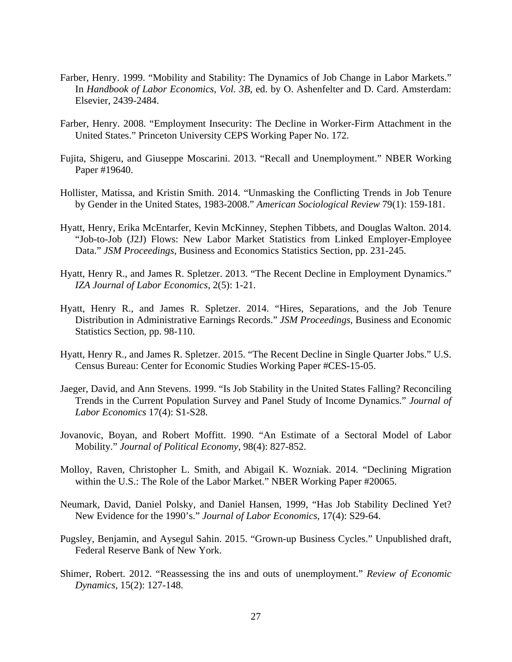- Farber, Henry. 1999. "Mobility and Stability: The Dynamics of Job Change in Labor Markets." In *Handbook of Labor Economics, Vol. 3B*, ed. by O. Ashenfelter and D. Card. Amsterdam: Elsevier, 2439-2484.
- Farber, Henry. 2008. "Employment Insecurity: The Decline in Worker-Firm Attachment in the United States." Princeton University CEPS Working Paper No. 172.
- Fujita, Shigeru, and Giuseppe Moscarini. 2013. "Recall and Unemployment." NBER Working Paper #19640.
- Hollister, Matissa, and Kristin Smith. 2014. "Unmasking the Conflicting Trends in Job Tenure by Gender in the United States, 1983-2008." *American Sociological Review* 79(1): 159-181.
- Hyatt, Henry, Erika McEntarfer, Kevin McKinney, Stephen Tibbets, and Douglas Walton. 2014. "Job-to-Job (J2J) Flows: New Labor Market Statistics from Linked Employer-Employee Data." *JSM Proceedings*, Business and Economics Statistics Section, pp. 231-245.
- Hyatt, Henry R., and James R. Spletzer. 2013. "The Recent Decline in Employment Dynamics." *IZA Journal of Labor Economics*, 2(5): 1-21.
- Hyatt, Henry R., and James R. Spletzer. 2014. "Hires, Separations, and the Job Tenure Distribution in Administrative Earnings Records." *JSM Proceedings*, Business and Economic Statistics Section, pp. 98-110.
- Hyatt, Henry R., and James R. Spletzer. 2015. "The Recent Decline in Single Quarter Jobs." U.S. Census Bureau: Center for Economic Studies Working Paper #CES-15-05.
- Jaeger, David, and Ann Stevens. 1999. "Is Job Stability in the United States Falling? Reconciling Trends in the Current Population Survey and Panel Study of Income Dynamics." *Journal of Labor Economics* 17(4): S1-S28.
- Jovanovic, Boyan, and Robert Moffitt. 1990. "An Estimate of a Sectoral Model of Labor Mobility." *Journal of Political Economy*, 98(4): 827-852.
- Molloy, Raven, Christopher L. Smith, and Abigail K. Wozniak. 2014. "Declining Migration within the U.S.: The Role of the Labor Market." NBER Working Paper #20065.
- Neumark, David, Daniel Polsky, and Daniel Hansen, 1999, "Has Job Stability Declined Yet? New Evidence for the 1990's." *Journal of Labor Economics*, 17(4): S29-64.
- Pugsley, Benjamin, and Aysegul Sahin. 2015. "Grown-up Business Cycles." Unpublished draft, Federal Reserve Bank of New York.
- Shimer, Robert. 2012. "Reassessing the ins and outs of unemployment." *Review of Economic Dynamics*, 15(2): 127-148.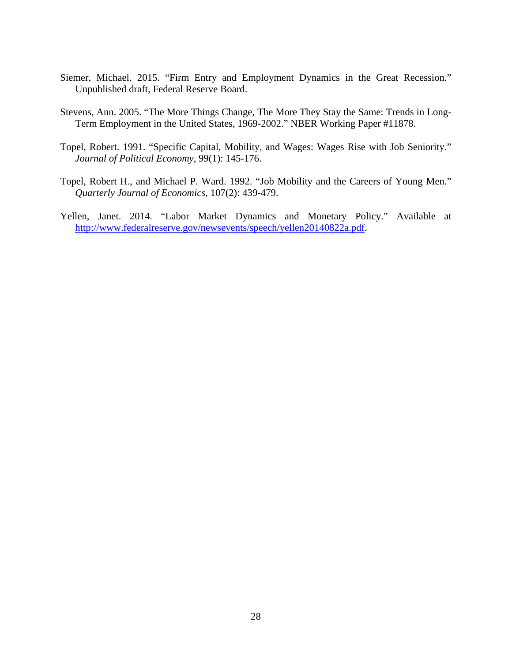- Siemer, Michael. 2015. "Firm Entry and Employment Dynamics in the Great Recession." Unpublished draft, Federal Reserve Board.
- Stevens, Ann. 2005. "The More Things Change, The More They Stay the Same: Trends in Long-Term Employment in the United States, 1969-2002." NBER Working Paper #11878.
- Topel, Robert. 1991. "Specific Capital, Mobility, and Wages: Wages Rise with Job Seniority." *Journal of Political Economy*, 99(1): 145-176.
- Topel, Robert H., and Michael P. Ward. 1992. "Job Mobility and the Careers of Young Men." *Quarterly Journal of Economics*, 107(2): 439-479.
- Yellen, Janet. 2014. "Labor Market Dynamics and Monetary Policy." Available at http://www.federalreserve.gov/newsevents/speech/yellen20140822a.pdf.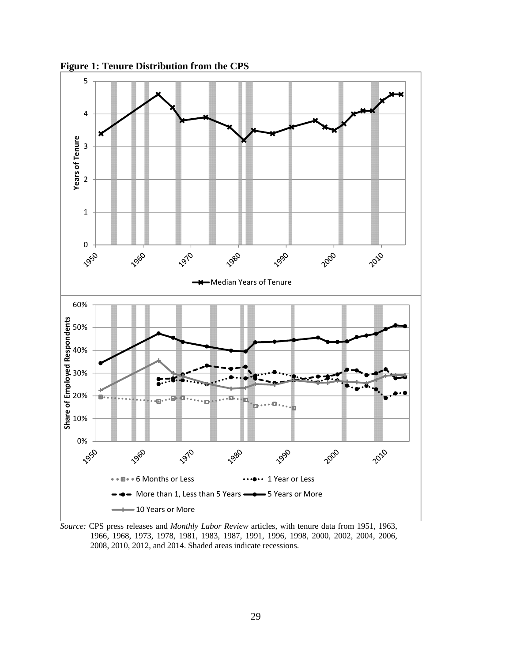

**Figure 1: Tenure Distribution from the CPS** 

*Source:* CPS press releases and *Monthly Labor Review* articles, with tenure data from 1951, 1963, 1966, 1968, 1973, 1978, 1981, 1983, 1987, 1991, 1996, 1998, 2000, 2002, 2004, 2006, 2008, 2010, 2012, and 2014. Shaded areas indicate recessions.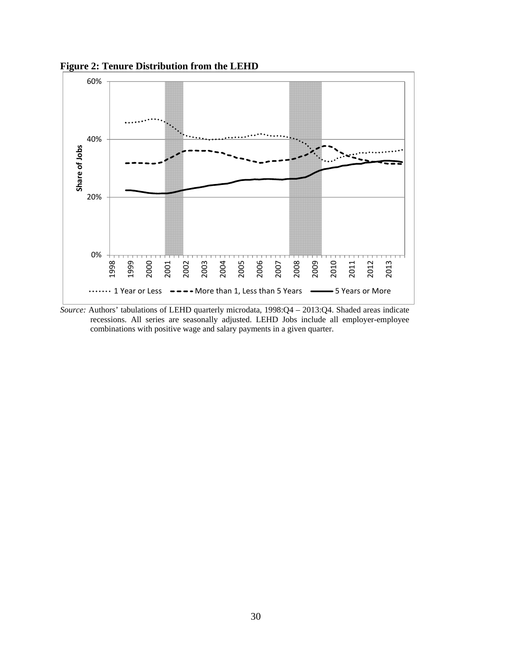

**Figure 2: Tenure Distribution from the LEHD** 

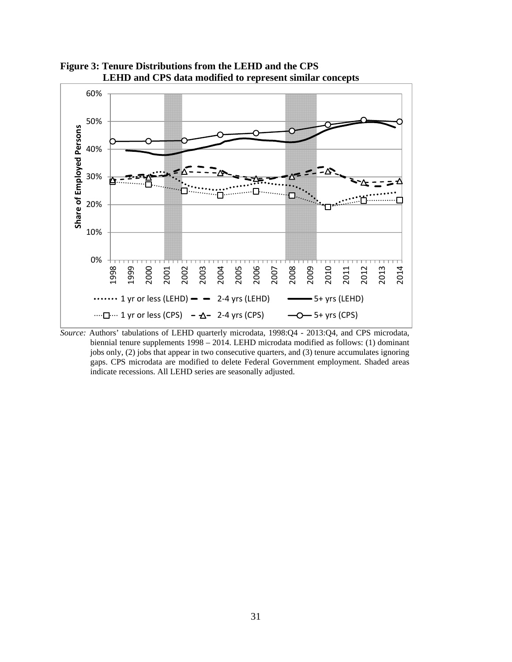

**Figure 3: Tenure Distributions from the LEHD and the CPS LEHD and CPS data modified to represent similar concepts** 

*Source:* Authors' tabulations of LEHD quarterly microdata, 1998:Q4 - 2013:Q4, and CPS microdata, biennial tenure supplements 1998 – 2014. LEHD microdata modified as follows: (1) dominant jobs only, (2) jobs that appear in two consecutive quarters, and (3) tenure accumulates ignoring gaps. CPS microdata are modified to delete Federal Government employment. Shaded areas indicate recessions. All LEHD series are seasonally adjusted.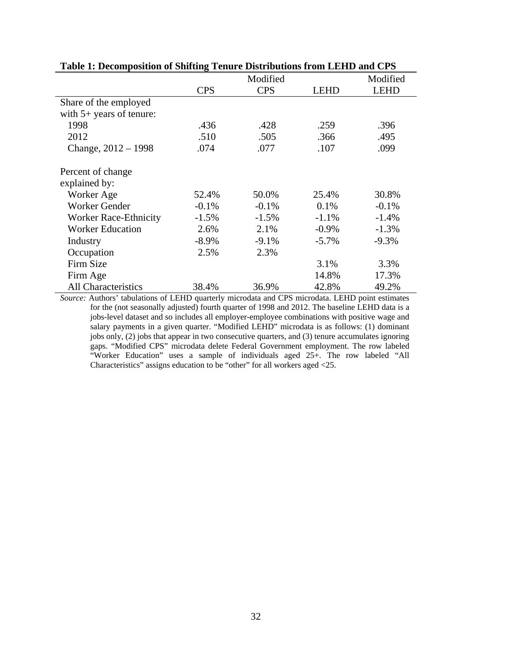| radio 1. Decomposition of Shirting Tenare Distributions from Ellin and Cr S |            |            |             |             |
|-----------------------------------------------------------------------------|------------|------------|-------------|-------------|
|                                                                             |            | Modified   |             | Modified    |
|                                                                             | <b>CPS</b> | <b>CPS</b> | <b>LEHD</b> | <b>LEHD</b> |
| Share of the employed                                                       |            |            |             |             |
| with $5+$ years of tenure:                                                  |            |            |             |             |
| 1998                                                                        | .436       | .428       | .259        | .396        |
| 2012                                                                        | .510       | .505       | .366        | .495        |
| Change, $2012 - 1998$                                                       | .074       | .077       | .107        | .099        |
| Percent of change                                                           |            |            |             |             |
| explained by:                                                               |            |            |             |             |
| Worker Age                                                                  | 52.4%      | 50.0%      | 25.4%       | 30.8%       |
| <b>Worker Gender</b>                                                        | $-0.1\%$   | $-0.1\%$   | 0.1%        | $-0.1%$     |
| <b>Worker Race-Ethnicity</b>                                                | $-1.5%$    | $-1.5%$    | $-1.1%$     | $-1.4%$     |
| <b>Worker Education</b>                                                     | 2.6%       | 2.1%       | $-0.9\%$    | $-1.3%$     |
| Industry                                                                    | $-8.9\%$   | $-9.1\%$   | $-5.7\%$    | $-9.3%$     |
| Occupation                                                                  | 2.5%       | 2.3%       |             |             |
| Firm Size                                                                   |            |            | 3.1%        | 3.3%        |
| Firm Age                                                                    |            |            | 14.8%       | 17.3%       |
| <b>All Characteristics</b>                                                  | 38.4%      | 36.9%      | 42.8%       | 49.2%       |

**Table 1: Decomposition of Shifting Tenure Distributions from LEHD and CPS** 

*Source:* Authors' tabulations of LEHD quarterly microdata and CPS microdata. LEHD point estimates for the (not seasonally adjusted) fourth quarter of 1998 and 2012. The baseline LEHD data is a jobs-level dataset and so includes all employer-employee combinations with positive wage and salary payments in a given quarter. "Modified LEHD" microdata is as follows: (1) dominant jobs only, (2) jobs that appear in two consecutive quarters, and (3) tenure accumulates ignoring gaps. "Modified CPS" microdata delete Federal Government employment. The row labeled "Worker Education" uses a sample of individuals aged 25+. The row labeled "All Characteristics" assigns education to be "other" for all workers aged <25.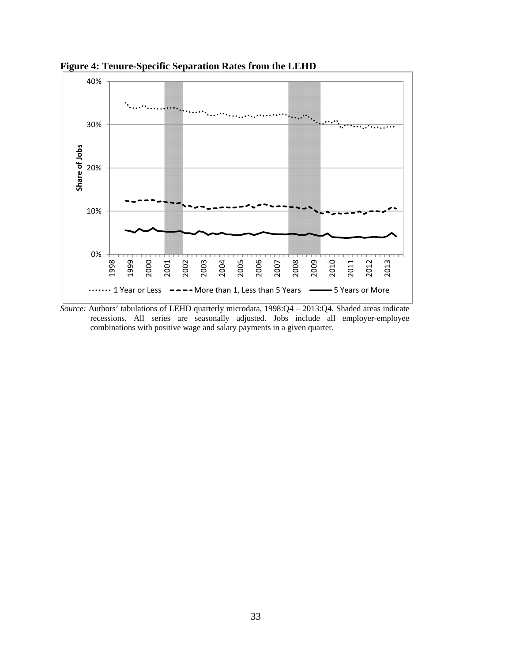

**Figure 4: Tenure-Specific Separation Rates from the LEHD** 

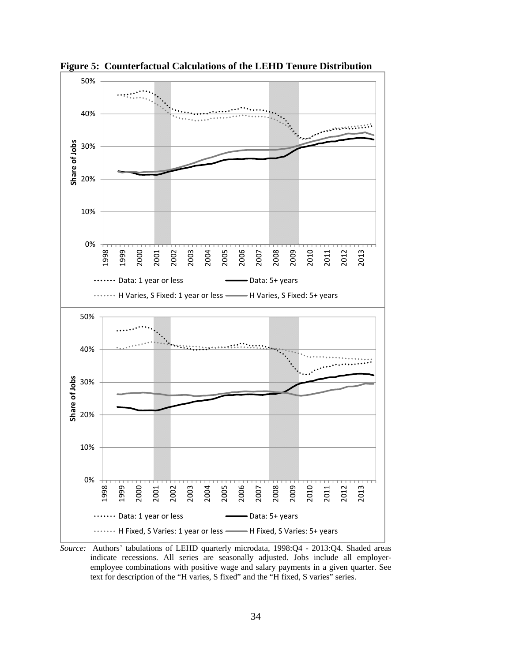

**Figure 5: Counterfactual Calculations of the LEHD Tenure Distribution** 

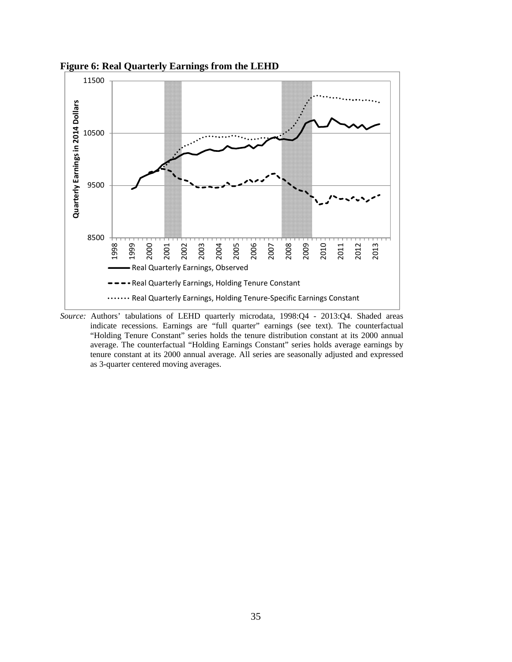

**Figure 6: Real Quarterly Earnings from the LEHD** 

*Source:* Authors' tabulations of LEHD quarterly microdata, 1998:Q4 - 2013:Q4. Shaded areas indicate recessions. Earnings are "full quarter" earnings (see text). The counterfactual "Holding Tenure Constant" series holds the tenure distribution constant at its 2000 annual average. The counterfactual "Holding Earnings Constant" series holds average earnings by tenure constant at its 2000 annual average. All series are seasonally adjusted and expressed as 3-quarter centered moving averages.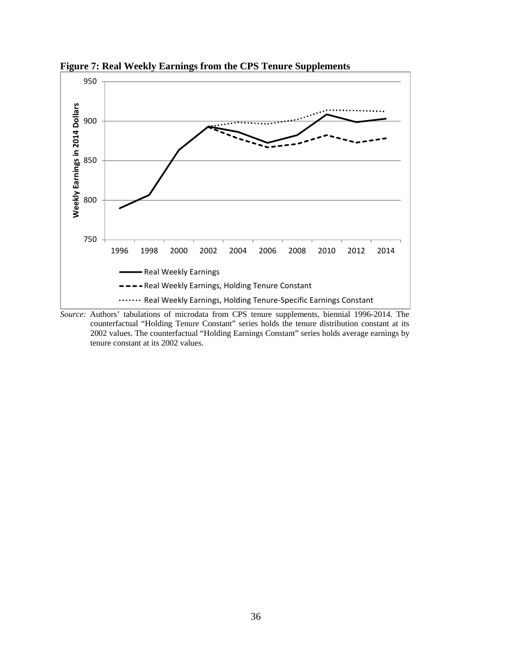

**Figure 7: Real Weekly Earnings from the CPS Tenure Supplements** 

*Source:* Authors' tabulations of microdata from CPS tenure supplements, biennial 1996-2014. The counterfactual "Holding Tenure Constant" series holds the tenure distribution constant at its 2002 values. The counterfactual "Holding Earnings Constant" series holds average earnings by tenure constant at its 2002 values.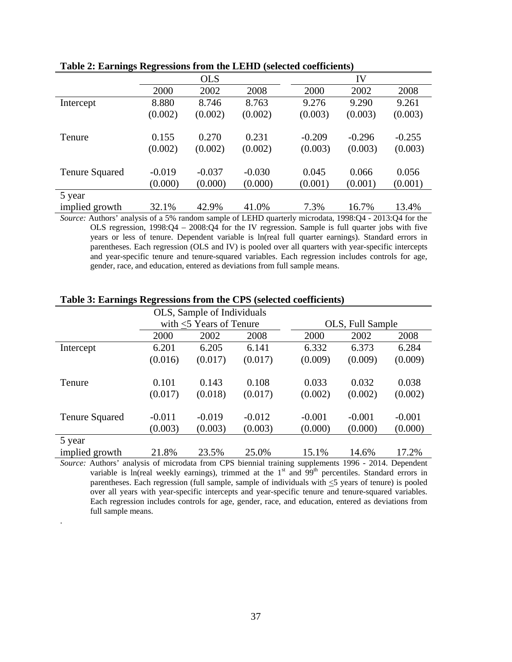|                                                                                                        |          | <b>OLS</b> |          |                                                                                                  | IV       |          |
|--------------------------------------------------------------------------------------------------------|----------|------------|----------|--------------------------------------------------------------------------------------------------|----------|----------|
|                                                                                                        | 2000     | 2002       | 2008     | 2000                                                                                             | 2002     | 2008     |
| Intercept                                                                                              | 8.880    | 8.746      | 8.763    | 9.276                                                                                            | 9.290    | 9.261    |
|                                                                                                        | (0.002)  | (0.002)    | (0.002)  | (0.003)                                                                                          | (0.003)  | (0.003)  |
|                                                                                                        |          |            |          |                                                                                                  |          |          |
| <b>Tenure</b>                                                                                          | 0.155    | 0.270      | 0.231    | $-0.209$                                                                                         | $-0.296$ | $-0.255$ |
|                                                                                                        | (0.002)  | (0.002)    | (0.002)  | (0.003)                                                                                          | (0.003)  | (0.003)  |
|                                                                                                        |          |            |          |                                                                                                  |          |          |
| <b>Tenure Squared</b>                                                                                  | $-0.019$ | $-0.037$   | $-0.030$ | 0.045                                                                                            | 0.066    | 0.056    |
|                                                                                                        | (0.000)  | (0.000)    | (0.000)  | (0.001)                                                                                          | (0.001)  | (0.001)  |
| 5 year                                                                                                 |          |            |          |                                                                                                  |          |          |
| implied growth                                                                                         | 32.1%    | 42.9%      | 41.0%    | 7.3%                                                                                             | 16.7%    | 13.4%    |
| Source: Authors' analysis of a 5% random sample of LEHD quarterly microdata, 1998:Q4 - 2013:Q4 for the |          |            |          |                                                                                                  |          |          |
|                                                                                                        |          |            |          | OLS regression, $1998:Q4 - 2008:Q4$ for the IV regression. Sample is full quarter jobs with five |          |          |

**Table 2: Earnings Regressions from the LEHD (selected coefficients)** 

years or less of tenure. Dependent variable is ln(real full quarter earnings). Standard errors in parentheses. Each regression (OLS and IV) is pooled over all quarters with year-specific intercepts and year-specific tenure and tenure-squared variables. Each regression includes controls for age, gender, race, and education, entered as deviations from full sample means.

|                       |          | OLS, Sample of Individuals                                   |          |          |                  |          |  |  |
|-----------------------|----------|--------------------------------------------------------------|----------|----------|------------------|----------|--|--|
|                       |          | with $<$ $\frac{5 \text{ Years}}{5 \text{�}$ Years of Tenure |          |          | OLS, Full Sample |          |  |  |
|                       | 2000     | 2002                                                         | 2008     | 2000     | 2002             | 2008     |  |  |
| Intercept             | 6.201    | 6.205                                                        | 6.141    | 6.332    | 6.373            | 6.284    |  |  |
|                       | (0.016)  | (0.017)                                                      | (0.017)  | (0.009)  | (0.009)          | (0.009)  |  |  |
| Tenure                | 0.101    | 0.143                                                        | 0.108    | 0.033    | 0.032            | 0.038    |  |  |
|                       | (0.017)  | (0.018)                                                      | (0.017)  | (0.002)  | (0.002)          | (0.002)  |  |  |
| <b>Tenure Squared</b> | $-0.011$ | $-0.019$                                                     | $-0.012$ | $-0.001$ | $-0.001$         | $-0.001$ |  |  |
|                       | (0.003)  | (0.003)                                                      | (0.003)  | (0.000)  | (0.000)          | (0.000)  |  |  |
| 5 year                |          |                                                              |          |          |                  |          |  |  |
| implied growth        | 21.8%    | 23.5%                                                        | 25.0%    | 15.1%    | 14.6%            | 17.2%    |  |  |

#### **Table 3: Earnings Regressions from the CPS (selected coefficients)**

.

*Source:* Authors' analysis of microdata from CPS biennial training supplements 1996 - 2014. Dependent variable is ln(real weekly earnings), trimmed at the  $1<sup>st</sup>$  and  $99<sup>th</sup>$  percentiles. Standard errors in parentheses. Each regression (full sample, sample of individuals with  $\leq$ 5 years of tenure) is pooled over all years with year-specific intercepts and year-specific tenure and tenure-squared variables. Each regression includes controls for age, gender, race, and education, entered as deviations from full sample means.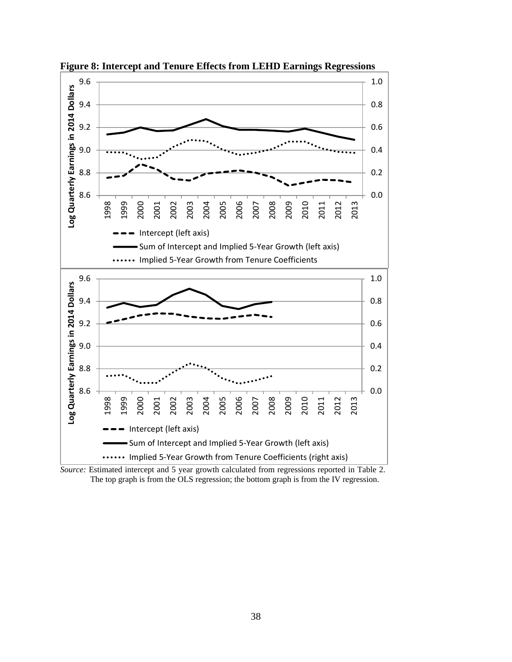

**Figure 8: Intercept and Tenure Effects from LEHD Earnings Regressions** 

*Source:* Estimated intercept and 5 year growth calculated from regressions reported in Table 2. The top graph is from the OLS regression; the bottom graph is from the IV regression.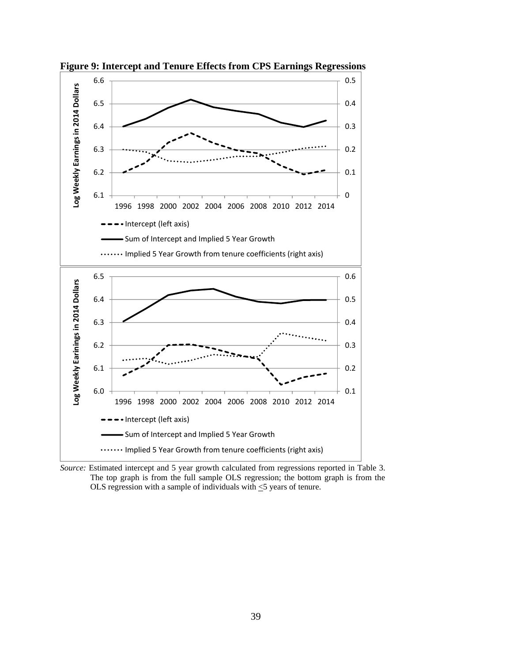

**Figure 9: Intercept and Tenure Effects from CPS Earnings Regressions** 

*Source:* Estimated intercept and 5 year growth calculated from regressions reported in Table 3. The top graph is from the full sample OLS regression; the bottom graph is from the OLS regression with a sample of individuals with  $\leq$ 5 years of tenure.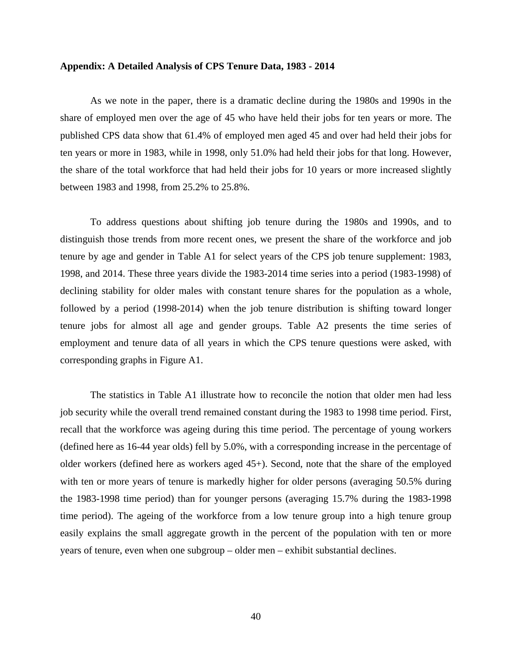#### **Appendix: A Detailed Analysis of CPS Tenure Data, 1983 - 2014**

 As we note in the paper, there is a dramatic decline during the 1980s and 1990s in the share of employed men over the age of 45 who have held their jobs for ten years or more. The published CPS data show that 61.4% of employed men aged 45 and over had held their jobs for ten years or more in 1983, while in 1998, only 51.0% had held their jobs for that long. However, the share of the total workforce that had held their jobs for 10 years or more increased slightly between 1983 and 1998, from 25.2% to 25.8%.

 To address questions about shifting job tenure during the 1980s and 1990s, and to distinguish those trends from more recent ones, we present the share of the workforce and job tenure by age and gender in Table A1 for select years of the CPS job tenure supplement: 1983, 1998, and 2014. These three years divide the 1983-2014 time series into a period (1983-1998) of declining stability for older males with constant tenure shares for the population as a whole, followed by a period (1998-2014) when the job tenure distribution is shifting toward longer tenure jobs for almost all age and gender groups. Table A2 presents the time series of employment and tenure data of all years in which the CPS tenure questions were asked, with corresponding graphs in Figure A1.

 The statistics in Table A1 illustrate how to reconcile the notion that older men had less job security while the overall trend remained constant during the 1983 to 1998 time period. First, recall that the workforce was ageing during this time period. The percentage of young workers (defined here as 16-44 year olds) fell by 5.0%, with a corresponding increase in the percentage of older workers (defined here as workers aged 45+). Second, note that the share of the employed with ten or more years of tenure is markedly higher for older persons (averaging 50.5% during the 1983-1998 time period) than for younger persons (averaging 15.7% during the 1983-1998 time period). The ageing of the workforce from a low tenure group into a high tenure group easily explains the small aggregate growth in the percent of the population with ten or more years of tenure, even when one subgroup – older men – exhibit substantial declines.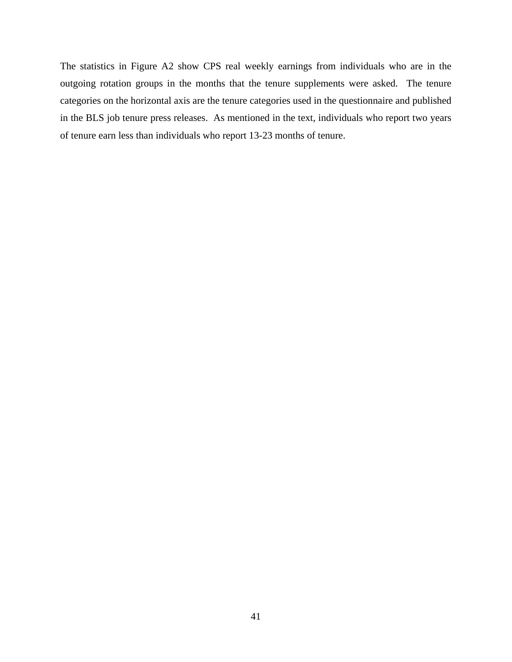The statistics in Figure A2 show CPS real weekly earnings from individuals who are in the outgoing rotation groups in the months that the tenure supplements were asked. The tenure categories on the horizontal axis are the tenure categories used in the questionnaire and published in the BLS job tenure press releases. As mentioned in the text, individuals who report two years of tenure earn less than individuals who report 13-23 months of tenure.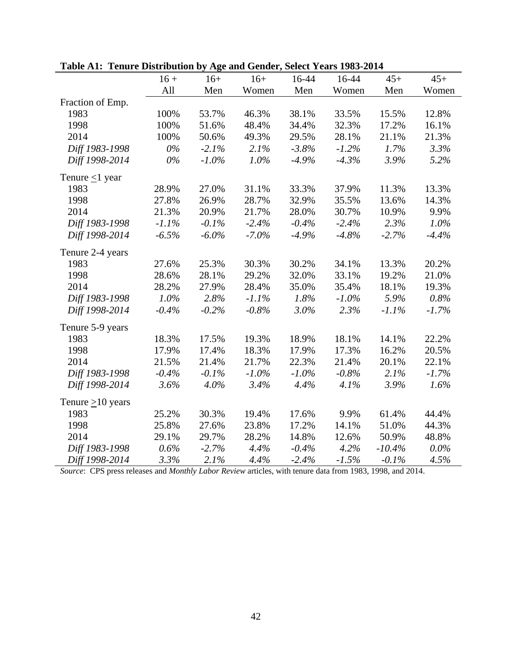|                        |          |          | $\frac{1}{2}$ |          |          |          |         |
|------------------------|----------|----------|---------------|----------|----------|----------|---------|
|                        | $16 +$   | $16+$    | $16+$         | 16-44    | 16-44    | $45+$    | $45+$   |
|                        | All      | Men      | Women         | Men      | Women    | Men      | Women   |
| Fraction of Emp.       |          |          |               |          |          |          |         |
| 1983                   | 100%     | 53.7%    | 46.3%         | 38.1%    | 33.5%    | 15.5%    | 12.8%   |
| 1998                   | 100%     | 51.6%    | 48.4%         | 34.4%    | 32.3%    | 17.2%    | 16.1%   |
| 2014                   | 100%     | 50.6%    | 49.3%         | 29.5%    | 28.1%    | 21.1%    | 21.3%   |
| Diff 1983-1998         | $0\%$    | $-2.1%$  | 2.1%          | $-3.8%$  | $-1.2\%$ | 1.7%     | 3.3%    |
| Diff 1998-2014         | $0\%$    | $-1.0\%$ | 1.0%          | $-4.9%$  | $-4.3%$  | 3.9%     | 5.2%    |
| Tenure $\leq$ 1 year   |          |          |               |          |          |          |         |
| 1983                   | 28.9%    | 27.0%    | 31.1%         | 33.3%    | 37.9%    | 11.3%    | 13.3%   |
| 1998                   | 27.8%    | 26.9%    | 28.7%         | 32.9%    | 35.5%    | 13.6%    | 14.3%   |
| 2014                   | 21.3%    | 20.9%    | 21.7%         | 28.0%    | 30.7%    | 10.9%    | 9.9%    |
| Diff 1983-1998         | $-1.1%$  | $-0.1%$  | $-2.4%$       | $-0.4%$  | $-2.4%$  | 2.3%     | 1.0%    |
| Diff 1998-2014         | $-6.5\%$ | $-6.0\%$ | $-7.0\%$      | $-4.9%$  | $-4.8%$  | $-2.7%$  | $-4.4%$ |
| Tenure 2-4 years       |          |          |               |          |          |          |         |
| 1983                   | 27.6%    | 25.3%    | 30.3%         | 30.2%    | 34.1%    | 13.3%    | 20.2%   |
| 1998                   | 28.6%    | 28.1%    | 29.2%         | 32.0%    | 33.1%    | 19.2%    | 21.0%   |
| 2014                   | 28.2%    | 27.9%    | 28.4%         | 35.0%    | 35.4%    | 18.1%    | 19.3%   |
| Diff 1983-1998         | $1.0\%$  | 2.8%     | $-1.1%$       | 1.8%     | $-1.0\%$ | 5.9%     | 0.8%    |
| Diff 1998-2014         | $-0.4%$  | $-0.2%$  | $-0.8%$       | 3.0%     | 2.3%     | $-1.1\%$ | $-1.7%$ |
| Tenure 5-9 years       |          |          |               |          |          |          |         |
| 1983                   | 18.3%    | 17.5%    | 19.3%         | 18.9%    | 18.1%    | 14.1%    | 22.2%   |
| 1998                   | 17.9%    | 17.4%    | 18.3%         | 17.9%    | 17.3%    | 16.2%    | 20.5%   |
| 2014                   | 21.5%    | 21.4%    | 21.7%         | 22.3%    | 21.4%    | 20.1%    | 22.1%   |
| Diff 1983-1998         | $-0.4%$  | $-0.1%$  | $-1.0\%$      | $-1.0\%$ | $-0.8%$  | 2.1%     | $-1.7%$ |
| Diff 1998-2014         | 3.6%     | 4.0%     | 3.4%          | 4.4%     | 4.1%     | 3.9%     | 1.6%    |
| Tenure $\geq$ 10 years |          |          |               |          |          |          |         |
| 1983                   | 25.2%    | 30.3%    | 19.4%         | 17.6%    | 9.9%     | 61.4%    | 44.4%   |
| 1998                   | 25.8%    | 27.6%    | 23.8%         | 17.2%    | 14.1%    | 51.0%    | 44.3%   |
| 2014                   | 29.1%    | 29.7%    | 28.2%         | 14.8%    | 12.6%    | 50.9%    | 48.8%   |
| Diff 1983-1998         | 0.6%     | $-2.7%$  | 4.4%          | $-0.4%$  | 4.2%     | $-10.4%$ | $0.0\%$ |
| Diff 1998-2014         | 3.3%     | 2.1%     | 4.4%          | $-2.4%$  | $-1.5%$  | $-0.1%$  | 4.5%    |

**Table A1: Tenure Distribution by Age and Gender, Select Years 1983-2014** 

*Source*: CPS press releases and *Monthly Labor Review* articles, with tenure data from 1983, 1998, and 2014.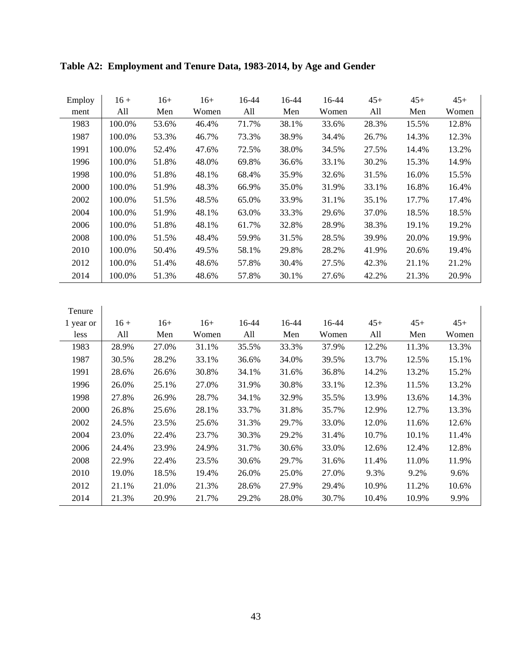| Employ | $16 +$ | $16+$ | $16+$ | 16-44 | 16-44 | 16-44 | $45+$ | $45+$ | $45+$ |
|--------|--------|-------|-------|-------|-------|-------|-------|-------|-------|
| ment   | All    | Men   | Women | All   | Men   | Women | All   | Men   | Women |
| 1983   | 100.0% | 53.6% | 46.4% | 71.7% | 38.1% | 33.6% | 28.3% | 15.5% | 12.8% |
| 1987   | 100.0% | 53.3% | 46.7% | 73.3% | 38.9% | 34.4% | 26.7% | 14.3% | 12.3% |
| 1991   | 100.0% | 52.4% | 47.6% | 72.5% | 38.0% | 34.5% | 27.5% | 14.4% | 13.2% |
| 1996   | 100.0% | 51.8% | 48.0% | 69.8% | 36.6% | 33.1% | 30.2% | 15.3% | 14.9% |
| 1998   | 100.0% | 51.8% | 48.1% | 68.4% | 35.9% | 32.6% | 31.5% | 16.0% | 15.5% |
| 2000   | 100.0% | 51.9% | 48.3% | 66.9% | 35.0% | 31.9% | 33.1% | 16.8% | 16.4% |
| 2002   | 100.0% | 51.5% | 48.5% | 65.0% | 33.9% | 31.1% | 35.1% | 17.7% | 17.4% |
| 2004   | 100.0% | 51.9% | 48.1% | 63.0% | 33.3% | 29.6% | 37.0% | 18.5% | 18.5% |
| 2006   | 100.0% | 51.8% | 48.1% | 61.7% | 32.8% | 28.9% | 38.3% | 19.1% | 19.2% |
| 2008   | 100.0% | 51.5% | 48.4% | 59.9% | 31.5% | 28.5% | 39.9% | 20.0% | 19.9% |
| 2010   | 100.0% | 50.4% | 49.5% | 58.1% | 29.8% | 28.2% | 41.9% | 20.6% | 19.4% |
| 2012   | 100.0% | 51.4% | 48.6% | 57.8% | 30.4% | 27.5% | 42.3% | 21.1% | 21.2% |
| 2014   | 100.0% | 51.3% | 48.6% | 57.8% | 30.1% | 27.6% | 42.2% | 21.3% | 20.9% |

**Table A2: Employment and Tenure Data, 1983-2014, by Age and Gender** 

| Tenure    |        |       |       |       |       |       |       |       |       |
|-----------|--------|-------|-------|-------|-------|-------|-------|-------|-------|
| 1 year or | $16 +$ | $16+$ | $16+$ | 16-44 | 16-44 | 16-44 | $45+$ | $45+$ | $45+$ |
| less      | All    | Men   | Women | All   | Men   | Women | All   | Men   | Women |
| 1983      | 28.9%  | 27.0% | 31.1% | 35.5% | 33.3% | 37.9% | 12.2% | 11.3% | 13.3% |
| 1987      | 30.5%  | 28.2% | 33.1% | 36.6% | 34.0% | 39.5% | 13.7% | 12.5% | 15.1% |
| 1991      | 28.6%  | 26.6% | 30.8% | 34.1% | 31.6% | 36.8% | 14.2% | 13.2% | 15.2% |
| 1996      | 26.0%  | 25.1% | 27.0% | 31.9% | 30.8% | 33.1% | 12.3% | 11.5% | 13.2% |
| 1998      | 27.8%  | 26.9% | 28.7% | 34.1% | 32.9% | 35.5% | 13.9% | 13.6% | 14.3% |
| 2000      | 26.8%  | 25.6% | 28.1% | 33.7% | 31.8% | 35.7% | 12.9% | 12.7% | 13.3% |
| 2002      | 24.5%  | 23.5% | 25.6% | 31.3% | 29.7% | 33.0% | 12.0% | 11.6% | 12.6% |
| 2004      | 23.0%  | 22.4% | 23.7% | 30.3% | 29.2% | 31.4% | 10.7% | 10.1% | 11.4% |
| 2006      | 24.4%  | 23.9% | 24.9% | 31.7% | 30.6% | 33.0% | 12.6% | 12.4% | 12.8% |
| 2008      | 22.9%  | 22.4% | 23.5% | 30.6% | 29.7% | 31.6% | 11.4% | 11.0% | 11.9% |
| 2010      | 19.0%  | 18.5% | 19.4% | 26.0% | 25.0% | 27.0% | 9.3%  | 9.2%  | 9.6%  |
| 2012      | 21.1%  | 21.0% | 21.3% | 28.6% | 27.9% | 29.4% | 10.9% | 11.2% | 10.6% |
| 2014      | 21.3%  | 20.9% | 21.7% | 29.2% | 28.0% | 30.7% | 10.4% | 10.9% | 9.9%  |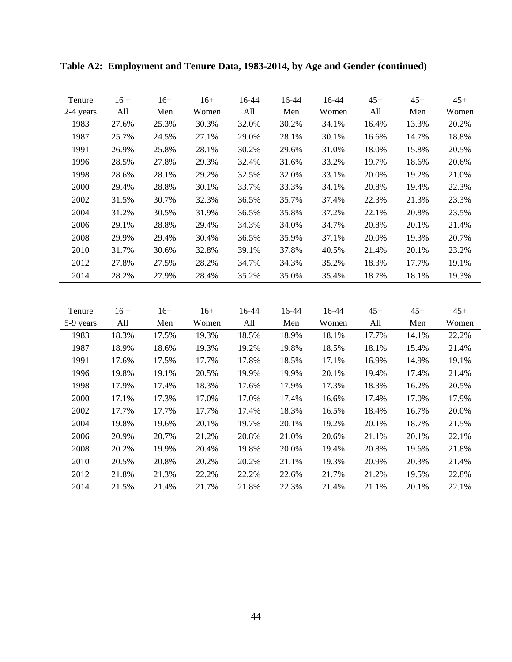| Tenure    | $16 +$ | $16+$ | $16+$ | 16-44 | 16-44 | 16-44 | $45+$ | $45+$ | $45+$ |
|-----------|--------|-------|-------|-------|-------|-------|-------|-------|-------|
| 2-4 years | All    | Men   | Women | All   | Men   | Women | All   | Men   | Women |
| 1983      | 27.6%  | 25.3% | 30.3% | 32.0% | 30.2% | 34.1% | 16.4% | 13.3% | 20.2% |
| 1987      | 25.7%  | 24.5% | 27.1% | 29.0% | 28.1% | 30.1% | 16.6% | 14.7% | 18.8% |
| 1991      | 26.9%  | 25.8% | 28.1% | 30.2% | 29.6% | 31.0% | 18.0% | 15.8% | 20.5% |
| 1996      | 28.5%  | 27.8% | 29.3% | 32.4% | 31.6% | 33.2% | 19.7% | 18.6% | 20.6% |
| 1998      | 28.6%  | 28.1% | 29.2% | 32.5% | 32.0% | 33.1% | 20.0% | 19.2% | 21.0% |
| 2000      | 29.4%  | 28.8% | 30.1% | 33.7% | 33.3% | 34.1% | 20.8% | 19.4% | 22.3% |
| 2002      | 31.5%  | 30.7% | 32.3% | 36.5% | 35.7% | 37.4% | 22.3% | 21.3% | 23.3% |
| 2004      | 31.2%  | 30.5% | 31.9% | 36.5% | 35.8% | 37.2% | 22.1% | 20.8% | 23.5% |
| 2006      | 29.1%  | 28.8% | 29.4% | 34.3% | 34.0% | 34.7% | 20.8% | 20.1% | 21.4% |
| 2008      | 29.9%  | 29.4% | 30.4% | 36.5% | 35.9% | 37.1% | 20.0% | 19.3% | 20.7% |
| 2010      | 31.7%  | 30.6% | 32.8% | 39.1% | 37.8% | 40.5% | 21.4% | 20.1% | 23.2% |
| 2012      | 27.8%  | 27.5% | 28.2% | 34.7% | 34.3% | 35.2% | 18.3% | 17.7% | 19.1% |
| 2014      | 28.2%  | 27.9% | 28.4% | 35.2% | 35.0% | 35.4% | 18.7% | 18.1% | 19.3% |

**Table A2: Employment and Tenure Data, 1983-2014, by Age and Gender (continued)** 

| Tenure    | $16+$ | $16+$ | $16+$ | 16-44 | 16-44 | 16-44 | $45+$ | $45+$ | $45+$ |
|-----------|-------|-------|-------|-------|-------|-------|-------|-------|-------|
| 5-9 years | All   | Men   | Women | All   | Men   | Women | All   | Men   | Women |
| 1983      | 18.3% | 17.5% | 19.3% | 18.5% | 18.9% | 18.1% | 17.7% | 14.1% | 22.2% |
| 1987      | 18.9% | 18.6% | 19.3% | 19.2% | 19.8% | 18.5% | 18.1% | 15.4% | 21.4% |
| 1991      | 17.6% | 17.5% | 17.7% | 17.8% | 18.5% | 17.1% | 16.9% | 14.9% | 19.1% |
| 1996      | 19.8% | 19.1% | 20.5% | 19.9% | 19.9% | 20.1% | 19.4% | 17.4% | 21.4% |
| 1998      | 17.9% | 17.4% | 18.3% | 17.6% | 17.9% | 17.3% | 18.3% | 16.2% | 20.5% |
| 2000      | 17.1% | 17.3% | 17.0% | 17.0% | 17.4% | 16.6% | 17.4% | 17.0% | 17.9% |
| 2002      | 17.7% | 17.7% | 17.7% | 17.4% | 18.3% | 16.5% | 18.4% | 16.7% | 20.0% |
| 2004      | 19.8% | 19.6% | 20.1% | 19.7% | 20.1% | 19.2% | 20.1% | 18.7% | 21.5% |
| 2006      | 20.9% | 20.7% | 21.2% | 20.8% | 21.0% | 20.6% | 21.1% | 20.1% | 22.1% |
| 2008      | 20.2% | 19.9% | 20.4% | 19.8% | 20.0% | 19.4% | 20.8% | 19.6% | 21.8% |
| 2010      | 20.5% | 20.8% | 20.2% | 20.2% | 21.1% | 19.3% | 20.9% | 20.3% | 21.4% |
| 2012      | 21.8% | 21.3% | 22.2% | 22.2% | 22.6% | 21.7% | 21.2% | 19.5% | 22.8% |
| 2014      | 21.5% | 21.4% | 21.7% | 21.8% | 22.3% | 21.4% | 21.1% | 20.1% | 22.1% |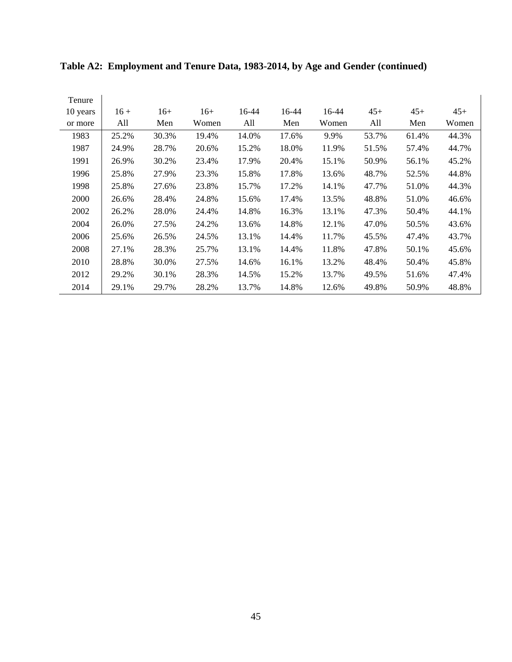| Tenure   |        |       |       |       |       |       |       |       |       |
|----------|--------|-------|-------|-------|-------|-------|-------|-------|-------|
| 10 years | $16 +$ | $16+$ | $16+$ | 16-44 | 16-44 | 16-44 | $45+$ | $45+$ | $45+$ |
| or more  | All    | Men   | Women | All   | Men   | Women | All   | Men   | Women |
| 1983     | 25.2%  | 30.3% | 19.4% | 14.0% | 17.6% | 9.9%  | 53.7% | 61.4% | 44.3% |
| 1987     | 24.9%  | 28.7% | 20.6% | 15.2% | 18.0% | 11.9% | 51.5% | 57.4% | 44.7% |
| 1991     | 26.9%  | 30.2% | 23.4% | 17.9% | 20.4% | 15.1% | 50.9% | 56.1% | 45.2% |
| 1996     | 25.8%  | 27.9% | 23.3% | 15.8% | 17.8% | 13.6% | 48.7% | 52.5% | 44.8% |
| 1998     | 25.8%  | 27.6% | 23.8% | 15.7% | 17.2% | 14.1% | 47.7% | 51.0% | 44.3% |
| 2000     | 26.6%  | 28.4% | 24.8% | 15.6% | 17.4% | 13.5% | 48.8% | 51.0% | 46.6% |
| 2002     | 26.2%  | 28.0% | 24.4% | 14.8% | 16.3% | 13.1% | 47.3% | 50.4% | 44.1% |
| 2004     | 26.0%  | 27.5% | 24.2% | 13.6% | 14.8% | 12.1% | 47.0% | 50.5% | 43.6% |
| 2006     | 25.6%  | 26.5% | 24.5% | 13.1% | 14.4% | 11.7% | 45.5% | 47.4% | 43.7% |
| 2008     | 27.1%  | 28.3% | 25.7% | 13.1% | 14.4% | 11.8% | 47.8% | 50.1% | 45.6% |
| 2010     | 28.8%  | 30.0% | 27.5% | 14.6% | 16.1% | 13.2% | 48.4% | 50.4% | 45.8% |
| 2012     | 29.2%  | 30.1% | 28.3% | 14.5% | 15.2% | 13.7% | 49.5% | 51.6% | 47.4% |
| 2014     | 29.1%  | 29.7% | 28.2% | 13.7% | 14.8% | 12.6% | 49.8% | 50.9% | 48.8% |

**Table A2: Employment and Tenure Data, 1983-2014, by Age and Gender (continued)**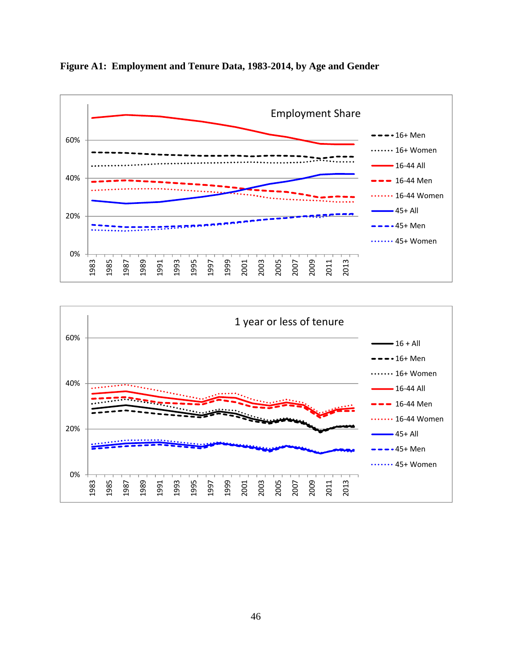

**Figure A1: Employment and Tenure Data, 1983-2014, by Age and Gender** 

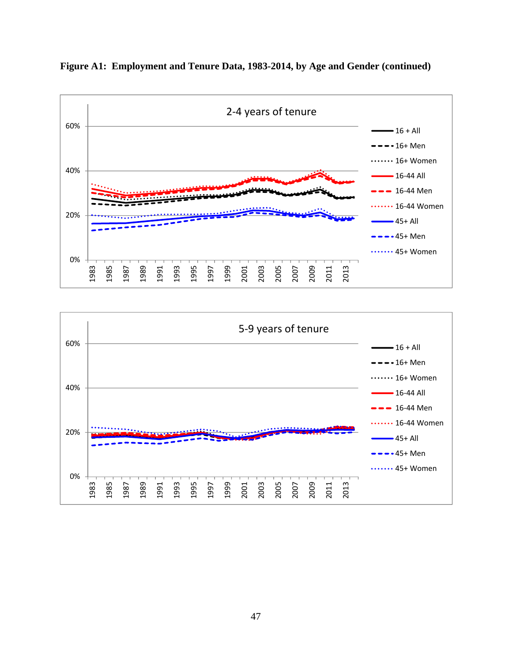



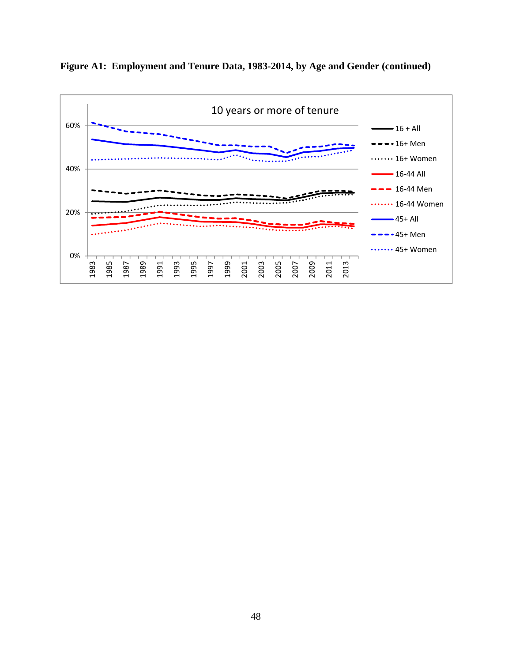

**Figure A1: Employment and Tenure Data, 1983-2014, by Age and Gender (continued)**